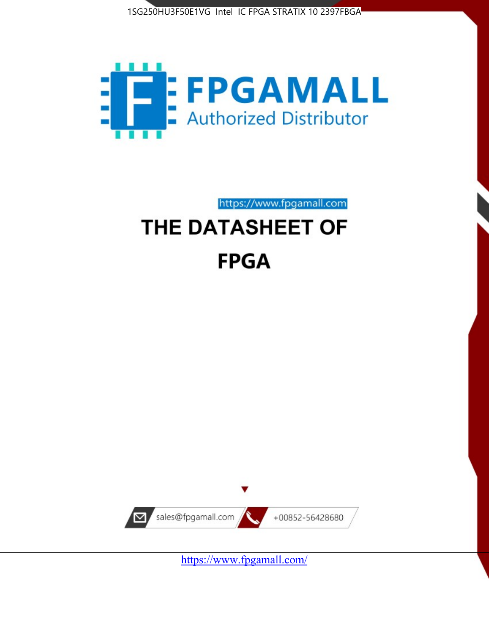



https://www.fpgamall.com

# THE DATASHEET OF **FPGA**



<https://www.fpgamall.com/>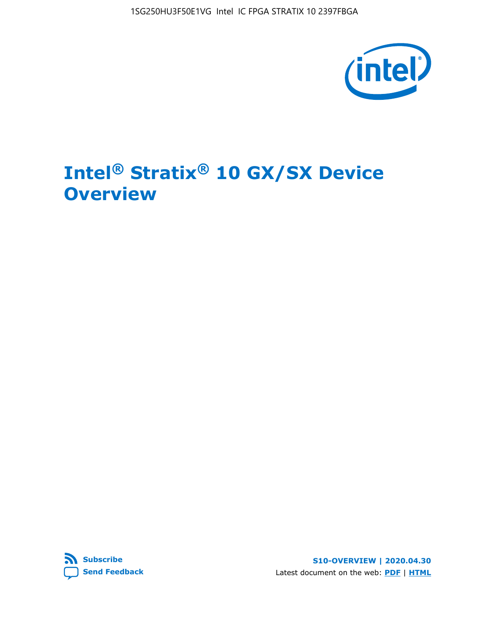

# **Intel® Stratix® 10 GX/SX Device Overview**



**S10-OVERVIEW | 2020.04.30** Latest document on the web: **[PDF](https://www.intel.com/content/dam/www/programmable/us/en/pdfs/literature/hb/stratix-10/s10-overview.pdf)** | **[HTML](https://www.intel.com/content/www/us/en/programmable/documentation/joc1442261161666.html)**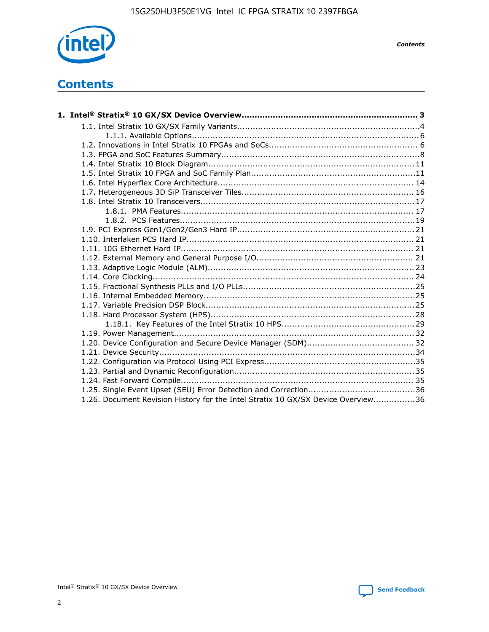

*Contents*

# **Contents**

| 1.26. Document Revision History for the Intel Stratix 10 GX/SX Device Overview36 |  |
|----------------------------------------------------------------------------------|--|

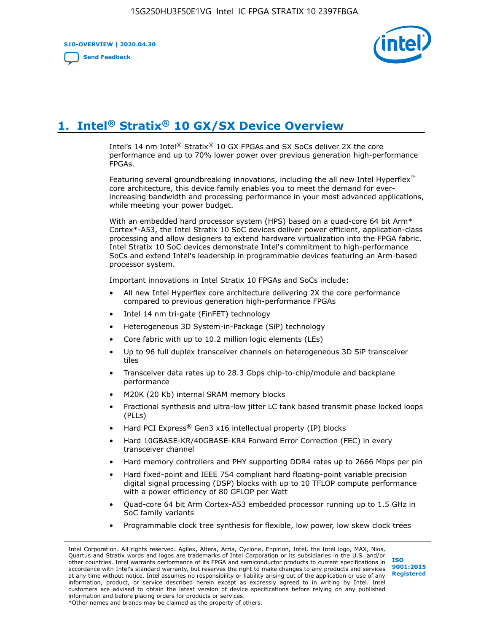**S10-OVERVIEW | 2020.04.30**

**[Send Feedback](mailto:FPGAtechdocfeedback@intel.com?subject=Feedback%20on%20Intel%20Stratix%2010%20GX/SX%20Device%20Overview%20(S10-OVERVIEW%202020.04.30)&body=We%20appreciate%20your%20feedback.%20In%20your%20comments,%20also%20specify%20the%20page%20number%20or%20paragraph.%20Thank%20you.)**



# **1. Intel® Stratix® 10 GX/SX Device Overview**

Intel's 14 nm Intel® Stratix® 10 GX FPGAs and SX SoCs deliver 2X the core performance and up to 70% lower power over previous generation high-performance FPGAs.

Featuring several groundbreaking innovations, including the all new Intel Hyperflex™ core architecture, this device family enables you to meet the demand for everincreasing bandwidth and processing performance in your most advanced applications, while meeting your power budget.

With an embedded hard processor system (HPS) based on a quad-core 64 bit Arm\* Cortex\*-A53, the Intel Stratix 10 SoC devices deliver power efficient, application-class processing and allow designers to extend hardware virtualization into the FPGA fabric. Intel Stratix 10 SoC devices demonstrate Intel's commitment to high-performance SoCs and extend Intel's leadership in programmable devices featuring an Arm-based processor system.

Important innovations in Intel Stratix 10 FPGAs and SoCs include:

- All new Intel Hyperflex core architecture delivering 2X the core performance compared to previous generation high-performance FPGAs
- Intel 14 nm tri-gate (FinFET) technology
- Heterogeneous 3D System-in-Package (SiP) technology
- Core fabric with up to 10.2 million logic elements (LEs)
- Up to 96 full duplex transceiver channels on heterogeneous 3D SiP transceiver tiles
- Transceiver data rates up to 28.3 Gbps chip-to-chip/module and backplane performance
- M20K (20 Kb) internal SRAM memory blocks
- Fractional synthesis and ultra-low jitter LC tank based transmit phase locked loops (PLLs)
- Hard PCI Express<sup>®</sup> Gen3 x16 intellectual property (IP) blocks
- Hard 10GBASE-KR/40GBASE-KR4 Forward Error Correction (FEC) in every transceiver channel
- Hard memory controllers and PHY supporting DDR4 rates up to 2666 Mbps per pin
- Hard fixed-point and IEEE 754 compliant hard floating-point variable precision digital signal processing (DSP) blocks with up to 10 TFLOP compute performance with a power efficiency of 80 GFLOP per Watt
- Quad-core 64 bit Arm Cortex-A53 embedded processor running up to 1.5 GHz in SoC family variants
- Programmable clock tree synthesis for flexible, low power, low skew clock trees

Intel Corporation. All rights reserved. Agilex, Altera, Arria, Cyclone, Enpirion, Intel, the Intel logo, MAX, Nios, Quartus and Stratix words and logos are trademarks of Intel Corporation or its subsidiaries in the U.S. and/or other countries. Intel warrants performance of its FPGA and semiconductor products to current specifications in accordance with Intel's standard warranty, but reserves the right to make changes to any products and services at any time without notice. Intel assumes no responsibility or liability arising out of the application or use of any information, product, or service described herein except as expressly agreed to in writing by Intel. Intel customers are advised to obtain the latest version of device specifications before relying on any published information and before placing orders for products or services. \*Other names and brands may be claimed as the property of others.

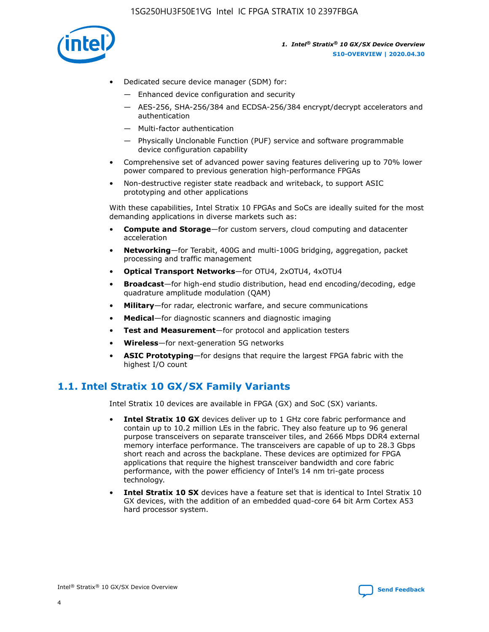

- Dedicated secure device manager (SDM) for:
	- Enhanced device configuration and security
	- AES-256, SHA-256/384 and ECDSA-256/384 encrypt/decrypt accelerators and authentication
	- Multi-factor authentication
	- Physically Unclonable Function (PUF) service and software programmable device configuration capability
- Comprehensive set of advanced power saving features delivering up to 70% lower power compared to previous generation high-performance FPGAs
- Non-destructive register state readback and writeback, to support ASIC prototyping and other applications

With these capabilities, Intel Stratix 10 FPGAs and SoCs are ideally suited for the most demanding applications in diverse markets such as:

- **Compute and Storage**—for custom servers, cloud computing and datacenter acceleration
- **Networking**—for Terabit, 400G and multi-100G bridging, aggregation, packet processing and traffic management
- **Optical Transport Networks**—for OTU4, 2xOTU4, 4xOTU4
- **Broadcast**—for high-end studio distribution, head end encoding/decoding, edge quadrature amplitude modulation (QAM)
- **Military**—for radar, electronic warfare, and secure communications
- **Medical**—for diagnostic scanners and diagnostic imaging
- **Test and Measurement**—for protocol and application testers
- **Wireless**—for next-generation 5G networks
- **ASIC Prototyping**—for designs that require the largest FPGA fabric with the highest I/O count

## **1.1. Intel Stratix 10 GX/SX Family Variants**

Intel Stratix 10 devices are available in FPGA (GX) and SoC (SX) variants.

- **Intel Stratix 10 GX** devices deliver up to 1 GHz core fabric performance and contain up to 10.2 million LEs in the fabric. They also feature up to 96 general purpose transceivers on separate transceiver tiles, and 2666 Mbps DDR4 external memory interface performance. The transceivers are capable of up to 28.3 Gbps short reach and across the backplane. These devices are optimized for FPGA applications that require the highest transceiver bandwidth and core fabric performance, with the power efficiency of Intel's 14 nm tri-gate process technology.
- **Intel Stratix 10 SX** devices have a feature set that is identical to Intel Stratix 10 GX devices, with the addition of an embedded quad-core 64 bit Arm Cortex A53 hard processor system.

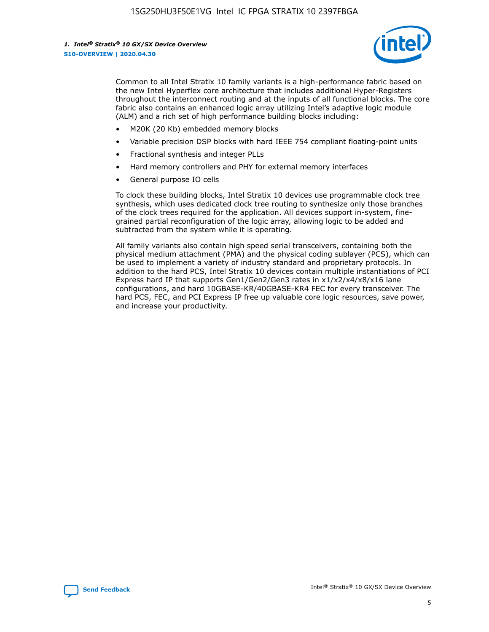

Common to all Intel Stratix 10 family variants is a high-performance fabric based on the new Intel Hyperflex core architecture that includes additional Hyper-Registers throughout the interconnect routing and at the inputs of all functional blocks. The core fabric also contains an enhanced logic array utilizing Intel's adaptive logic module (ALM) and a rich set of high performance building blocks including:

- M20K (20 Kb) embedded memory blocks
- Variable precision DSP blocks with hard IEEE 754 compliant floating-point units
- Fractional synthesis and integer PLLs
- Hard memory controllers and PHY for external memory interfaces
- General purpose IO cells

To clock these building blocks, Intel Stratix 10 devices use programmable clock tree synthesis, which uses dedicated clock tree routing to synthesize only those branches of the clock trees required for the application. All devices support in-system, finegrained partial reconfiguration of the logic array, allowing logic to be added and subtracted from the system while it is operating.

All family variants also contain high speed serial transceivers, containing both the physical medium attachment (PMA) and the physical coding sublayer (PCS), which can be used to implement a variety of industry standard and proprietary protocols. In addition to the hard PCS, Intel Stratix 10 devices contain multiple instantiations of PCI Express hard IP that supports Gen1/Gen2/Gen3 rates in x1/x2/x4/x8/x16 lane configurations, and hard 10GBASE-KR/40GBASE-KR4 FEC for every transceiver. The hard PCS, FEC, and PCI Express IP free up valuable core logic resources, save power, and increase your productivity.

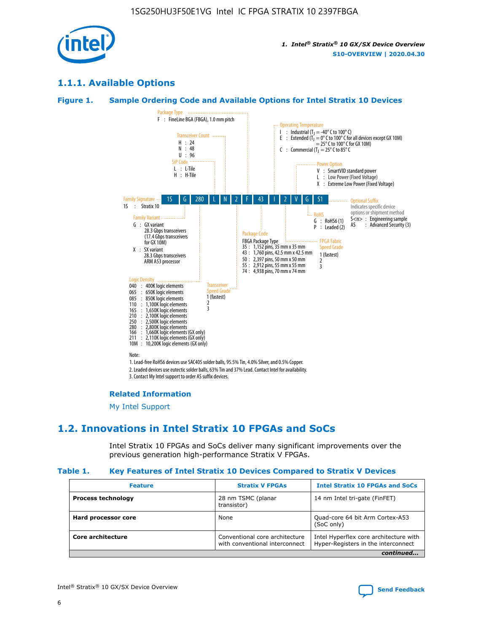

## **1.1.1. Available Options**

#### **Figure 1. Sample Ordering Code and Available Options for Intel Stratix 10 Devices**



## **Related Information**

[My Intel Support](https://www.intel.com/content/www/us/en/programmable/my-intel/mal-home.html)

## **1.2. Innovations in Intel Stratix 10 FPGAs and SoCs**

Intel Stratix 10 FPGAs and SoCs deliver many significant improvements over the previous generation high-performance Stratix V FPGAs.

#### **Table 1. Key Features of Intel Stratix 10 Devices Compared to Stratix V Devices**

| <b>Feature</b>            | <b>Stratix V FPGAs</b>                                           | <b>Intel Stratix 10 FPGAs and SoCs</b>                                        |
|---------------------------|------------------------------------------------------------------|-------------------------------------------------------------------------------|
| <b>Process technology</b> | 28 nm TSMC (planar<br>transistor)                                | 14 nm Intel tri-gate (FinFET)                                                 |
| Hard processor core       | None                                                             | Quad-core 64 bit Arm Cortex-A53<br>(SoC only)                                 |
| Core architecture         | Conventional core architecture<br>with conventional interconnect | Intel Hyperflex core architecture with<br>Hyper-Registers in the interconnect |
|                           |                                                                  | continued                                                                     |

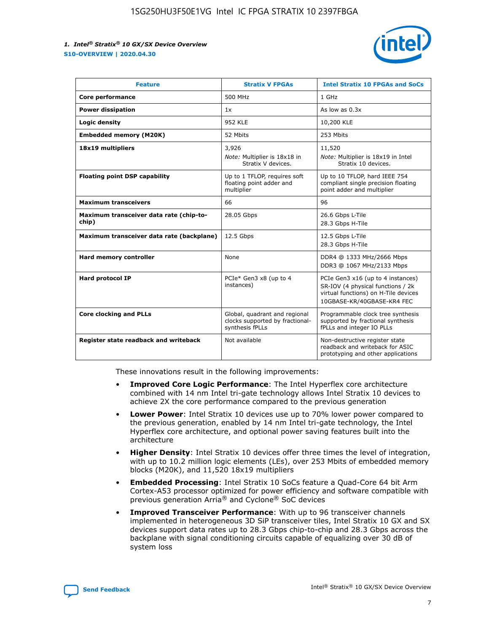

| <b>Feature</b>                                   | <b>Stratix V FPGAs</b>                                                              | <b>Intel Stratix 10 FPGAs and SoCs</b>                                                                                                       |
|--------------------------------------------------|-------------------------------------------------------------------------------------|----------------------------------------------------------------------------------------------------------------------------------------------|
| Core performance                                 | 500 MHz                                                                             | 1 GHz                                                                                                                                        |
| <b>Power dissipation</b>                         | 1x                                                                                  | As low as $0.3x$                                                                                                                             |
| Logic density                                    | 952 KLE                                                                             | 10,200 KLE                                                                                                                                   |
| <b>Embedded memory (M20K)</b>                    | 52 Mbits                                                                            | 253 Mbits                                                                                                                                    |
| 18x19 multipliers                                | 3,926                                                                               | 11,520                                                                                                                                       |
|                                                  | Note: Multiplier is 18x18 in<br>Stratix V devices.                                  | Note: Multiplier is 18x19 in Intel<br>Stratix 10 devices.                                                                                    |
| <b>Floating point DSP capability</b>             | Up to 1 TFLOP, requires soft<br>floating point adder and<br>multiplier              | Up to 10 TFLOP, hard IEEE 754<br>compliant single precision floating<br>point adder and multiplier                                           |
| <b>Maximum transceivers</b>                      | 66                                                                                  | 96                                                                                                                                           |
| Maximum transceiver data rate (chip-to-<br>chip) | 28.05 Gbps                                                                          | 26.6 Gbps L-Tile<br>28.3 Gbps H-Tile                                                                                                         |
| Maximum transceiver data rate (backplane)        | 12.5 Gbps                                                                           | 12.5 Gbps L-Tile<br>28.3 Gbps H-Tile                                                                                                         |
| Hard memory controller                           | None                                                                                | DDR4 @ 1333 MHz/2666 Mbps<br>DDR3 @ 1067 MHz/2133 Mbps                                                                                       |
| <b>Hard protocol IP</b>                          | PCIe* Gen3 x8 (up to 4<br>instances)                                                | PCIe Gen3 x16 (up to 4 instances)<br>SR-IOV (4 physical functions / 2k<br>virtual functions) on H-Tile devices<br>10GBASE-KR/40GBASE-KR4 FEC |
| <b>Core clocking and PLLs</b>                    | Global, quadrant and regional<br>clocks supported by fractional-<br>synthesis fPLLs | Programmable clock tree synthesis<br>supported by fractional synthesis<br>fPLLs and integer IO PLLs                                          |
| Register state readback and writeback            | Not available                                                                       | Non-destructive register state<br>readback and writeback for ASIC<br>prototyping and other applications                                      |

These innovations result in the following improvements:

- **Improved Core Logic Performance**: The Intel Hyperflex core architecture combined with 14 nm Intel tri-gate technology allows Intel Stratix 10 devices to achieve 2X the core performance compared to the previous generation
- **Lower Power**: Intel Stratix 10 devices use up to 70% lower power compared to the previous generation, enabled by 14 nm Intel tri-gate technology, the Intel Hyperflex core architecture, and optional power saving features built into the architecture
- **Higher Density**: Intel Stratix 10 devices offer three times the level of integration, with up to 10.2 million logic elements (LEs), over 253 Mbits of embedded memory blocks (M20K), and 11,520 18x19 multipliers
- **Embedded Processing**: Intel Stratix 10 SoCs feature a Quad-Core 64 bit Arm Cortex-A53 processor optimized for power efficiency and software compatible with previous generation Arria® and Cyclone® SoC devices
- **Improved Transceiver Performance**: With up to 96 transceiver channels implemented in heterogeneous 3D SiP transceiver tiles, Intel Stratix 10 GX and SX devices support data rates up to 28.3 Gbps chip-to-chip and 28.3 Gbps across the backplane with signal conditioning circuits capable of equalizing over 30 dB of system loss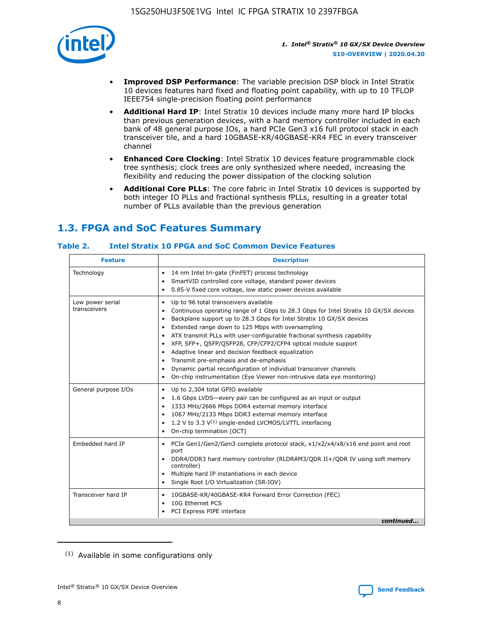

- **Improved DSP Performance**: The variable precision DSP block in Intel Stratix 10 devices features hard fixed and floating point capability, with up to 10 TFLOP IEEE754 single-precision floating point performance
- **Additional Hard IP**: Intel Stratix 10 devices include many more hard IP blocks than previous generation devices, with a hard memory controller included in each bank of 48 general purpose IOs, a hard PCIe Gen3 x16 full protocol stack in each transceiver tile, and a hard 10GBASE-KR/40GBASE-KR4 FEC in every transceiver channel
- **Enhanced Core Clocking**: Intel Stratix 10 devices feature programmable clock tree synthesis; clock trees are only synthesized where needed, increasing the flexibility and reducing the power dissipation of the clocking solution
- **Additional Core PLLs**: The core fabric in Intel Stratix 10 devices is supported by both integer IO PLLs and fractional synthesis fPLLs, resulting in a greater total number of PLLs available than the previous generation

## **1.3. FPGA and SoC Features Summary**

## **Table 2. Intel Stratix 10 FPGA and SoC Common Device Features**

| <b>Feature</b>                   | <b>Description</b>                                                                                                                                                                                                                                                                                                                                                                                                                                                                                                                                                                                                                                                                                                                                   |  |  |
|----------------------------------|------------------------------------------------------------------------------------------------------------------------------------------------------------------------------------------------------------------------------------------------------------------------------------------------------------------------------------------------------------------------------------------------------------------------------------------------------------------------------------------------------------------------------------------------------------------------------------------------------------------------------------------------------------------------------------------------------------------------------------------------------|--|--|
| Technology                       | 14 nm Intel tri-gate (FinFET) process technology<br>٠<br>SmartVID controlled core voltage, standard power devices<br>0.85-V fixed core voltage, low static power devices available                                                                                                                                                                                                                                                                                                                                                                                                                                                                                                                                                                   |  |  |
| Low power serial<br>transceivers | Up to 96 total transceivers available<br>$\bullet$<br>Continuous operating range of 1 Gbps to 28.3 Gbps for Intel Stratix 10 GX/SX devices<br>$\bullet$<br>Backplane support up to 28.3 Gbps for Intel Stratix 10 GX/SX devices<br>$\bullet$<br>Extended range down to 125 Mbps with oversampling<br>$\bullet$<br>ATX transmit PLLs with user-configurable fractional synthesis capability<br>$\bullet$<br>• XFP, SFP+, OSFP/OSFP28, CFP/CFP2/CFP4 optical module support<br>• Adaptive linear and decision feedback equalization<br>Transmit pre-emphasis and de-emphasis<br>Dynamic partial reconfiguration of individual transceiver channels<br>$\bullet$<br>On-chip instrumentation (Eye Viewer non-intrusive data eye monitoring)<br>$\bullet$ |  |  |
| General purpose I/Os             | Up to 2,304 total GPIO available<br>$\bullet$<br>1.6 Gbps LVDS-every pair can be configured as an input or output<br>$\bullet$<br>1333 MHz/2666 Mbps DDR4 external memory interface<br>1067 MHz/2133 Mbps DDR3 external memory interface<br>1.2 V to 3.3 $V^{(1)}$ single-ended LVCMOS/LVTTL interfacing<br>$\bullet$<br>On-chip termination (OCT)<br>$\bullet$                                                                                                                                                                                                                                                                                                                                                                                      |  |  |
| Embedded hard IP                 | • PCIe Gen1/Gen2/Gen3 complete protocol stack, $x1/x2/x4/x8/x16$ end point and root<br>port<br>DDR4/DDR3 hard memory controller (RLDRAM3/QDR II+/QDR IV using soft memory<br>controller)<br>Multiple hard IP instantiations in each device<br>$\bullet$<br>• Single Root I/O Virtualization (SR-IOV)                                                                                                                                                                                                                                                                                                                                                                                                                                                 |  |  |
| Transceiver hard IP              | 10GBASE-KR/40GBASE-KR4 Forward Error Correction (FEC)<br>$\bullet$<br>10G Ethernet PCS<br>$\bullet$<br>• PCI Express PIPE interface<br>continued                                                                                                                                                                                                                                                                                                                                                                                                                                                                                                                                                                                                     |  |  |

<sup>(1)</sup> Available in some configurations only

8

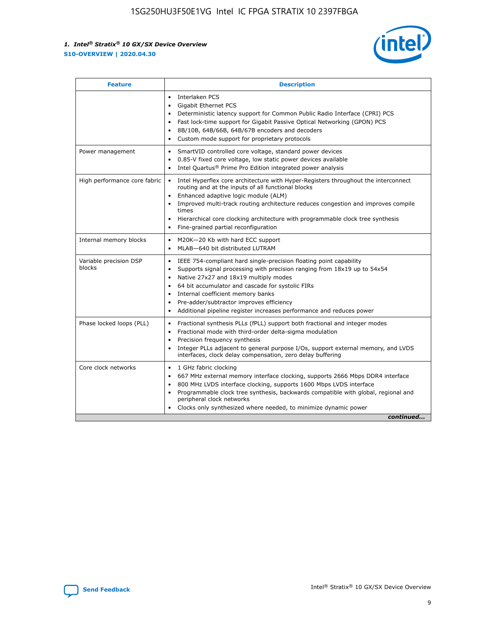

| <b>Feature</b>                   | <b>Description</b>                                                                                                                                                                                                                                                                                                                                                                                                                                                         |
|----------------------------------|----------------------------------------------------------------------------------------------------------------------------------------------------------------------------------------------------------------------------------------------------------------------------------------------------------------------------------------------------------------------------------------------------------------------------------------------------------------------------|
|                                  | Interlaken PCS<br>$\bullet$<br>Gigabit Ethernet PCS<br>$\bullet$<br>Deterministic latency support for Common Public Radio Interface (CPRI) PCS<br>$\bullet$<br>Fast lock-time support for Gigabit Passive Optical Networking (GPON) PCS<br>8B/10B, 64B/66B, 64B/67B encoders and decoders<br>$\bullet$<br>Custom mode support for proprietary protocols<br>$\bullet$                                                                                                       |
| Power management                 | SmartVID controlled core voltage, standard power devices<br>$\bullet$<br>0.85-V fixed core voltage, low static power devices available<br>$\bullet$<br>Intel Quartus <sup>®</sup> Prime Pro Edition integrated power analysis                                                                                                                                                                                                                                              |
| High performance core fabric     | Intel Hyperflex core architecture with Hyper-Registers throughout the interconnect<br>$\bullet$<br>routing and at the inputs of all functional blocks<br>Enhanced adaptive logic module (ALM)<br>$\bullet$<br>Improved multi-track routing architecture reduces congestion and improves compile<br>times<br>Hierarchical core clocking architecture with programmable clock tree synthesis<br>$\bullet$<br>Fine-grained partial reconfiguration                            |
| Internal memory blocks           | M20K-20 Kb with hard ECC support<br>٠<br>MLAB-640 bit distributed LUTRAM<br>$\bullet$                                                                                                                                                                                                                                                                                                                                                                                      |
| Variable precision DSP<br>blocks | IEEE 754-compliant hard single-precision floating point capability<br>$\bullet$<br>Supports signal processing with precision ranging from 18x19 up to 54x54<br>$\bullet$<br>Native 27x27 and 18x19 multiply modes<br>٠<br>64 bit accumulator and cascade for systolic FIRs<br>$\bullet$<br>Internal coefficient memory banks<br>Pre-adder/subtractor improves efficiency<br>$\bullet$<br>Additional pipeline register increases performance and reduces power<br>$\bullet$ |
| Phase locked loops (PLL)         | Fractional synthesis PLLs (fPLL) support both fractional and integer modes<br>$\bullet$<br>Fractional mode with third-order delta-sigma modulation<br>Precision frequency synthesis<br>$\bullet$<br>Integer PLLs adjacent to general purpose I/Os, support external memory, and LVDS<br>$\bullet$<br>interfaces, clock delay compensation, zero delay buffering                                                                                                            |
| Core clock networks              | 1 GHz fabric clocking<br>$\bullet$<br>667 MHz external memory interface clocking, supports 2666 Mbps DDR4 interface<br>$\bullet$<br>800 MHz LVDS interface clocking, supports 1600 Mbps LVDS interface<br>$\bullet$<br>Programmable clock tree synthesis, backwards compatible with global, regional and<br>$\bullet$<br>peripheral clock networks<br>Clocks only synthesized where needed, to minimize dynamic power<br>continued                                         |

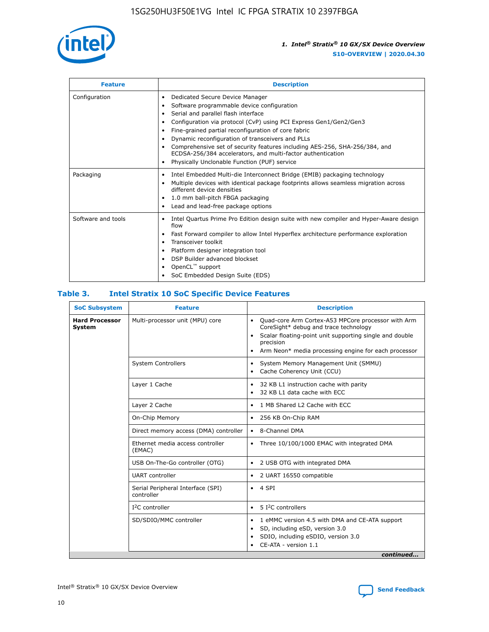

| <b>Feature</b>     | <b>Description</b>                                                                                                                                                                                                                                                                                                                                                                                                                                                                                                                                                   |  |  |  |
|--------------------|----------------------------------------------------------------------------------------------------------------------------------------------------------------------------------------------------------------------------------------------------------------------------------------------------------------------------------------------------------------------------------------------------------------------------------------------------------------------------------------------------------------------------------------------------------------------|--|--|--|
| Configuration      | Dedicated Secure Device Manager<br>$\bullet$<br>Software programmable device configuration<br>٠<br>Serial and parallel flash interface<br>٠<br>Configuration via protocol (CvP) using PCI Express Gen1/Gen2/Gen3<br>٠<br>Fine-grained partial reconfiguration of core fabric<br>$\bullet$<br>Dynamic reconfiguration of transceivers and PLLs<br>$\bullet$<br>Comprehensive set of security features including AES-256, SHA-256/384, and<br>ECDSA-256/384 accelerators, and multi-factor authentication<br>Physically Unclonable Function (PUF) service<br>$\bullet$ |  |  |  |
| Packaging          | Intel Embedded Multi-die Interconnect Bridge (EMIB) packaging technology<br>٠<br>Multiple devices with identical package footprints allows seamless migration across<br>$\bullet$<br>different device densities<br>1.0 mm ball-pitch FBGA packaging<br>$\bullet$<br>Lead and lead-free package options                                                                                                                                                                                                                                                               |  |  |  |
| Software and tools | Intel Quartus Prime Pro Edition design suite with new compiler and Hyper-Aware design<br>flow<br>Fast Forward compiler to allow Intel Hyperflex architecture performance exploration<br>$\bullet$<br>Transceiver toolkit<br>$\bullet$<br>Platform designer integration tool<br>DSP Builder advanced blockset<br>OpenCL <sup>™</sup> support<br>SoC Embedded Design Suite (EDS)                                                                                                                                                                                       |  |  |  |

## **Table 3. Intel Stratix 10 SoC Specific Device Features**

| <b>Hard Processor</b><br>System | Multi-processor unit (MPU) core<br><b>System Controllers</b> | Quad-core Arm Cortex-A53 MPCore processor with Arm<br>$\bullet$<br>CoreSight* debug and trace technology<br>Scalar floating-point unit supporting single and double<br>$\bullet$<br>precision<br>Arm Neon* media processing engine for each processor<br>$\bullet$<br>System Memory Management Unit (SMMU)<br>٠<br>Cache Coherency Unit (CCU)<br>$\bullet$ |
|---------------------------------|--------------------------------------------------------------|------------------------------------------------------------------------------------------------------------------------------------------------------------------------------------------------------------------------------------------------------------------------------------------------------------------------------------------------------------|
|                                 |                                                              |                                                                                                                                                                                                                                                                                                                                                            |
|                                 |                                                              |                                                                                                                                                                                                                                                                                                                                                            |
|                                 | Layer 1 Cache                                                | 32 KB L1 instruction cache with parity<br>$\bullet$<br>32 KB L1 data cache with ECC<br>$\bullet$                                                                                                                                                                                                                                                           |
|                                 | Layer 2 Cache                                                | 1 MB Shared L2 Cache with ECC<br>$\bullet$                                                                                                                                                                                                                                                                                                                 |
|                                 | On-Chip Memory                                               | 256 KB On-Chip RAM<br>٠                                                                                                                                                                                                                                                                                                                                    |
|                                 | Direct memory access (DMA) controller                        | 8-Channel DMA<br>$\bullet$                                                                                                                                                                                                                                                                                                                                 |
| (EMAC)                          | Ethernet media access controller                             | Three 10/100/1000 EMAC with integrated DMA<br>$\bullet$                                                                                                                                                                                                                                                                                                    |
|                                 | USB On-The-Go controller (OTG)                               | 2 USB OTG with integrated DMA<br>$\bullet$                                                                                                                                                                                                                                                                                                                 |
|                                 | <b>UART</b> controller                                       | 2 UART 16550 compatible<br>$\bullet$                                                                                                                                                                                                                                                                                                                       |
|                                 | Serial Peripheral Interface (SPI)<br>controller              | $\bullet$ 4 SPI                                                                                                                                                                                                                                                                                                                                            |
|                                 | $I2C$ controller                                             | 5 I <sup>2</sup> C controllers<br>$\bullet$                                                                                                                                                                                                                                                                                                                |
|                                 | SD/SDIO/MMC controller                                       | 1 eMMC version 4.5 with DMA and CE-ATA support<br>$\bullet$<br>SD, including eSD, version 3.0<br>$\bullet$<br>SDIO, including eSDIO, version 3.0<br>$\bullet$<br>CE-ATA - version 1.1<br>continued                                                                                                                                                         |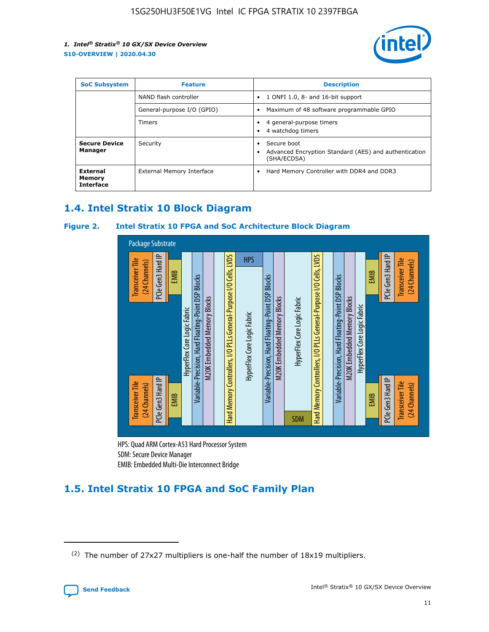

| <b>SoC Subsystem</b>                   | <b>Feature</b>             | <b>Description</b>                                                                            |  |  |
|----------------------------------------|----------------------------|-----------------------------------------------------------------------------------------------|--|--|
|                                        | NAND flash controller      | 1 ONFI 1.0, 8- and 16-bit support<br>$\bullet$                                                |  |  |
|                                        | General-purpose I/O (GPIO) | Maximum of 48 software programmable GPIO<br>$\bullet$                                         |  |  |
|                                        | <b>Timers</b>              | 4 general-purpose timers<br>٠<br>4 watchdog timers                                            |  |  |
| <b>Secure Device</b><br>Manager        | Security                   | Secure boot<br>٠<br>Advanced Encryption Standard (AES) and authentication<br>٠<br>(SHA/ECDSA) |  |  |
| External<br>Memory<br><b>Interface</b> | External Memory Interface  | Hard Memory Controller with DDR4 and DDR3<br>$\bullet$                                        |  |  |

## **1.4. Intel Stratix 10 Block Diagram**

## **Figure 2. Intel Stratix 10 FPGA and SoC Architecture Block Diagram**



HPS: Quad ARM Cortex-A53 Hard Processor System SDM: Secure Device Manager

## **1.5. Intel Stratix 10 FPGA and SoC Family Plan**

<sup>(2)</sup> The number of 27x27 multipliers is one-half the number of 18x19 multipliers.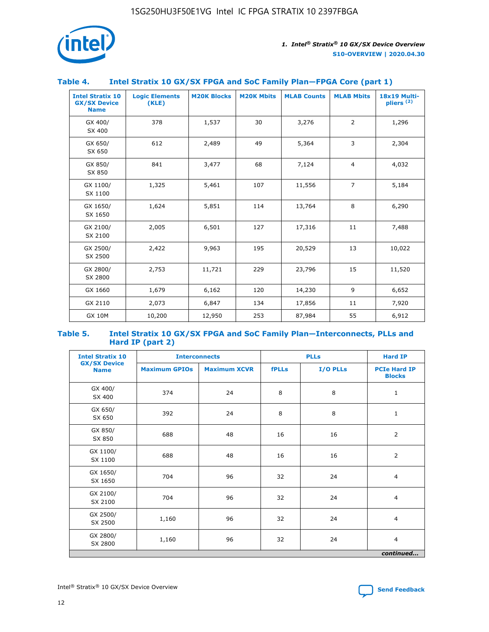

## **Table 4. Intel Stratix 10 GX/SX FPGA and SoC Family Plan—FPGA Core (part 1)**

| <b>Intel Stratix 10</b><br><b>GX/SX Device</b><br><b>Name</b> | <b>Logic Elements</b><br>(KLE) | <b>M20K Blocks</b> | <b>M20K Mbits</b> | <b>MLAB Counts</b> | <b>MLAB Mbits</b> | 18x19 Multi-<br>pliers <sup>(2)</sup> |
|---------------------------------------------------------------|--------------------------------|--------------------|-------------------|--------------------|-------------------|---------------------------------------|
| GX 400/<br>SX 400                                             | 378                            | 1,537              | 30                | 3,276              | $\overline{2}$    | 1,296                                 |
| GX 650/<br>SX 650                                             | 612                            | 2,489              | 49                | 5,364              | 3                 | 2,304                                 |
| GX 850/<br>SX 850                                             | 841                            | 3,477              | 68                | 7,124              | $\overline{4}$    | 4,032                                 |
| GX 1100/<br>SX 1100                                           | 1,325                          | 5,461              | 107               | 11,556             | $\overline{7}$    | 5,184                                 |
| GX 1650/<br>SX 1650                                           | 1,624                          | 5,851              | 114               | 13,764             | 8                 | 6,290                                 |
| GX 2100/<br>SX 2100                                           | 2,005                          | 6,501              | 127               | 17,316             | 11                | 7,488                                 |
| GX 2500/<br>SX 2500                                           | 2,422                          | 9,963              | 195               | 20,529             | 13                | 10,022                                |
| GX 2800/<br>SX 2800                                           | 2,753                          | 11,721             | 229               | 23,796             | 15                | 11,520                                |
| GX 1660                                                       | 1,679                          | 6,162              | 120               | 14,230             | 9                 | 6,652                                 |
| GX 2110                                                       | 2,073                          | 6,847              | 134               | 17,856             | 11                | 7,920                                 |
| <b>GX 10M</b>                                                 | 10,200                         | 12,950             | 253               | 87,984             | 55                | 6,912                                 |

#### **Table 5. Intel Stratix 10 GX/SX FPGA and SoC Family Plan—Interconnects, PLLs and Hard IP (part 2)**

| <b>Intel Stratix 10</b>            |                      | <b>PLLs</b><br><b>Interconnects</b> |              |          | <b>Hard IP</b>                       |  |
|------------------------------------|----------------------|-------------------------------------|--------------|----------|--------------------------------------|--|
| <b>GX/SX Device</b><br><b>Name</b> | <b>Maximum GPIOs</b> | <b>Maximum XCVR</b>                 | <b>fPLLs</b> | I/O PLLs | <b>PCIe Hard IP</b><br><b>Blocks</b> |  |
| GX 400/<br>SX 400                  | 374                  | 24                                  | 8            | 8        | $\mathbf{1}$                         |  |
| GX 650/<br>SX 650                  | 392                  | 24                                  | 8            | 8        | $\mathbf{1}$                         |  |
| GX 850/<br>SX 850                  | 688                  | 48                                  | 16           | 16       | 2                                    |  |
| GX 1100/<br>SX 1100                | 688                  | 48                                  | 16           | 16       | 2                                    |  |
| GX 1650/<br>SX 1650                | 704                  | 96                                  | 32           | 24       | $\overline{4}$                       |  |
| GX 2100/<br>SX 2100                | 704                  | 96                                  | 32           | 24       | 4                                    |  |
| GX 2500/<br>SX 2500                | 1,160                | 96                                  | 32           | 24       | $\overline{4}$                       |  |
| GX 2800/<br>SX 2800                | 1,160                | 96                                  | 32           | 24       | $\overline{4}$                       |  |
| continued                          |                      |                                     |              |          |                                      |  |

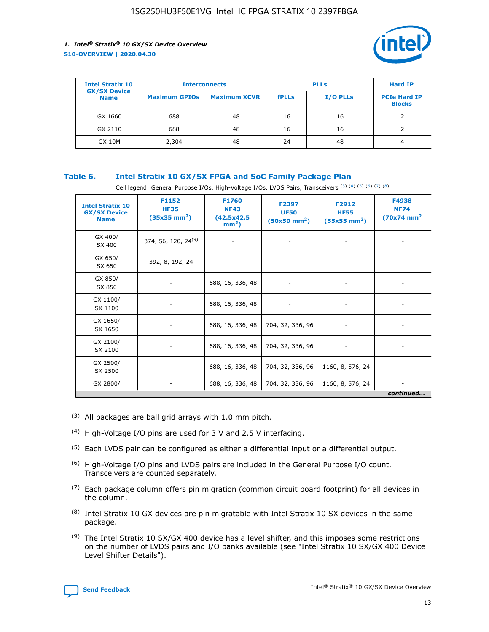

| <b>Intel Stratix 10</b>            | <b>Interconnects</b> |                     |              | <b>Hard IP</b>  |                                      |
|------------------------------------|----------------------|---------------------|--------------|-----------------|--------------------------------------|
| <b>GX/SX Device</b><br><b>Name</b> | <b>Maximum GPIOs</b> | <b>Maximum XCVR</b> | <b>fPLLs</b> | <b>I/O PLLs</b> | <b>PCIe Hard IP</b><br><b>Blocks</b> |
| GX 1660                            | 688                  | 48                  | 16           | 16              |                                      |
| GX 2110                            | 688                  | 48                  | 16           | 16              |                                      |
| <b>GX 10M</b>                      | 2,304                | 48                  | 24           | 48              | 4                                    |

## **Table 6. Intel Stratix 10 GX/SX FPGA and SoC Family Package Plan**

Cell legend: General Purpose I/Os, High-Voltage I/Os, LVDS Pairs, Transceivers (3) (4) (5) (6) (7) (8)

| <b>Intel Stratix 10</b><br><b>GX/SX Device</b><br><b>Name</b> | F1152<br><b>HF35</b><br>$(35x35 \text{ mm}^2)$ | <b>F1760</b><br><b>NF43</b><br>(42.5x42.5<br>$mm2$ ) | F2397<br><b>UF50</b><br>$(50x50 \text{ mm}^2)$ | F2912<br><b>HF55</b><br>$(55x55 \text{ mm}^2)$ | F4938<br><b>NF74</b><br>$(70x74)$ mm <sup>2</sup> |
|---------------------------------------------------------------|------------------------------------------------|------------------------------------------------------|------------------------------------------------|------------------------------------------------|---------------------------------------------------|
| GX 400/<br>SX 400                                             | 374, 56, 120, 24 <sup>(9)</sup>                | $\overline{\phantom{a}}$                             | $\overline{\phantom{a}}$                       |                                                |                                                   |
| GX 650/<br>SX 650                                             | 392, 8, 192, 24                                | ٠                                                    | $\overline{\phantom{a}}$                       |                                                |                                                   |
| GX 850/<br>SX 850                                             |                                                | 688, 16, 336, 48                                     |                                                |                                                |                                                   |
| GX 1100/<br>SX 1100                                           |                                                | 688, 16, 336, 48                                     |                                                |                                                |                                                   |
| GX 1650/<br>SX 1650                                           |                                                | 688, 16, 336, 48                                     | 704, 32, 336, 96                               |                                                |                                                   |
| GX 2100/<br>SX 2100                                           |                                                | 688, 16, 336, 48                                     | 704, 32, 336, 96                               | -                                              | ۰                                                 |
| GX 2500/<br>SX 2500                                           |                                                | 688, 16, 336, 48                                     | 704, 32, 336, 96                               | 1160, 8, 576, 24                               |                                                   |
| GX 2800/                                                      | $\overline{\phantom{a}}$                       | 688, 16, 336, 48                                     | 704, 32, 336, 96                               | 1160, 8, 576, 24                               | ٠<br>continued                                    |

- (3) All packages are ball grid arrays with 1.0 mm pitch.
- (4) High-Voltage I/O pins are used for 3 V and 2.5 V interfacing.
- $(5)$  Each LVDS pair can be configured as either a differential input or a differential output.
- (6) High-Voltage I/O pins and LVDS pairs are included in the General Purpose I/O count. Transceivers are counted separately.
- $(7)$  Each package column offers pin migration (common circuit board footprint) for all devices in the column.
- $(8)$  Intel Stratix 10 GX devices are pin migratable with Intel Stratix 10 SX devices in the same package.
- $(9)$  The Intel Stratix 10 SX/GX 400 device has a level shifter, and this imposes some restrictions on the number of LVDS pairs and I/O banks available (see "Intel Stratix 10 SX/GX 400 Device Level Shifter Details").

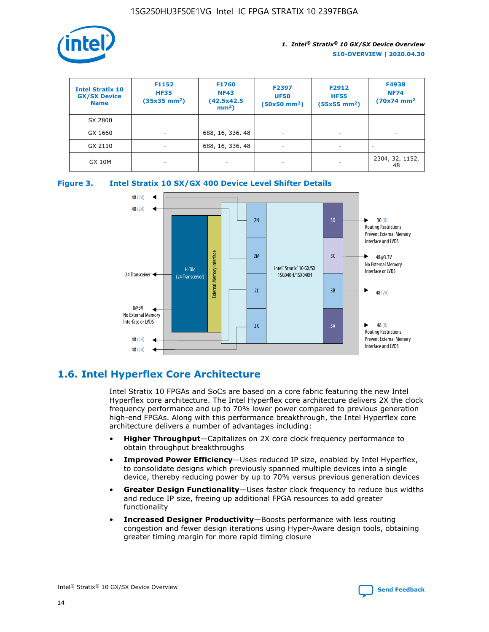

| <b>Intel Stratix 10</b><br><b>GX/SX Device</b><br><b>Name</b> | F1152<br><b>HF35</b><br>$(35x35)$ mm <sup>2</sup> ) | F1760<br><b>NF43</b><br>(42.5x42.5<br>$mm2$ ) | F2397<br><b>UF50</b><br>$(50x50 \text{ mm}^2)$ | F2912<br><b>HF55</b><br>$(55x55$ mm <sup>2</sup> ) | F4938<br><b>NF74</b><br>$(70x74)$ mm <sup>2</sup> |
|---------------------------------------------------------------|-----------------------------------------------------|-----------------------------------------------|------------------------------------------------|----------------------------------------------------|---------------------------------------------------|
| SX 2800                                                       |                                                     |                                               |                                                |                                                    |                                                   |
| GX 1660                                                       | -                                                   | 688, 16, 336, 48                              | $\overline{\phantom{a}}$                       |                                                    |                                                   |
| GX 2110                                                       |                                                     | 688, 16, 336, 48                              | $\overline{\phantom{a}}$                       |                                                    |                                                   |
| <b>GX 10M</b>                                                 | ۰                                                   |                                               |                                                |                                                    | 2304, 32, 1152,<br>48                             |





## **1.6. Intel Hyperflex Core Architecture**

Intel Stratix 10 FPGAs and SoCs are based on a core fabric featuring the new Intel Hyperflex core architecture. The Intel Hyperflex core architecture delivers 2X the clock frequency performance and up to 70% lower power compared to previous generation high-end FPGAs. Along with this performance breakthrough, the Intel Hyperflex core architecture delivers a number of advantages including:

- **Higher Throughput**—Capitalizes on 2X core clock frequency performance to obtain throughput breakthroughs
- **Improved Power Efficiency**—Uses reduced IP size, enabled by Intel Hyperflex, to consolidate designs which previously spanned multiple devices into a single device, thereby reducing power by up to 70% versus previous generation devices
- **Greater Design Functionality**—Uses faster clock frequency to reduce bus widths and reduce IP size, freeing up additional FPGA resources to add greater functionality
- **Increased Designer Productivity**—Boosts performance with less routing congestion and fewer design iterations using Hyper-Aware design tools, obtaining greater timing margin for more rapid timing closure

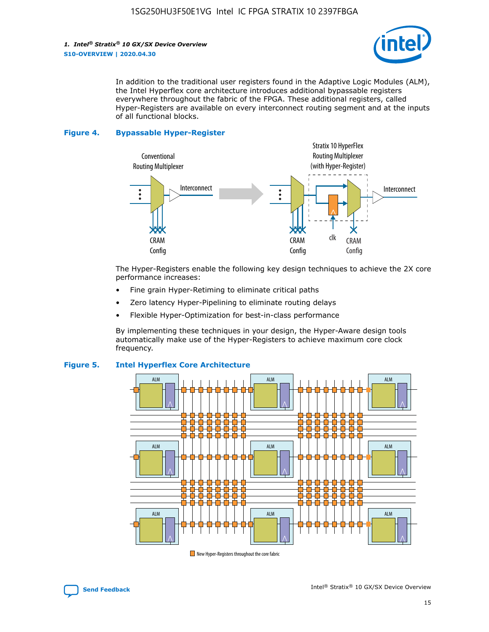

In addition to the traditional user registers found in the Adaptive Logic Modules (ALM), the Intel Hyperflex core architecture introduces additional bypassable registers everywhere throughout the fabric of the FPGA. These additional registers, called Hyper-Registers are available on every interconnect routing segment and at the inputs of all functional blocks.

#### **Figure 4. Bypassable Hyper-Register**



The Hyper-Registers enable the following key design techniques to achieve the 2X core performance increases:

- Fine grain Hyper-Retiming to eliminate critical paths
- Zero latency Hyper-Pipelining to eliminate routing delays
- Flexible Hyper-Optimization for best-in-class performance

By implementing these techniques in your design, the Hyper-Aware design tools automatically make use of the Hyper-Registers to achieve maximum core clock frequency.



## **Figure 5. Intel Hyperflex Core Architecture**

New Hyper-Registers throughout the core fabric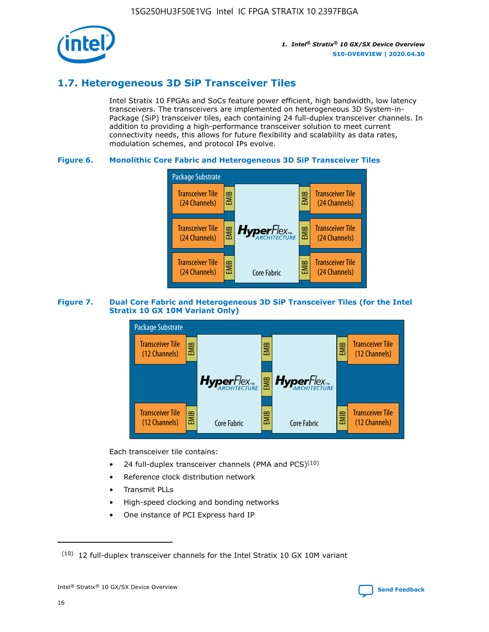

## **1.7. Heterogeneous 3D SiP Transceiver Tiles**

Intel Stratix 10 FPGAs and SoCs feature power efficient, high bandwidth, low latency transceivers. The transceivers are implemented on heterogeneous 3D System-in-Package (SiP) transceiver tiles, each containing 24 full-duplex transceiver channels. In addition to providing a high-performance transceiver solution to meet current connectivity needs, this allows for future flexibility and scalability as data rates, modulation schemes, and protocol IPs evolve.

## **Figure 6. Monolithic Core Fabric and Heterogeneous 3D SiP Transceiver Tiles**



## **Figure 7. Dual Core Fabric and Heterogeneous 3D SiP Transceiver Tiles (for the Intel Stratix 10 GX 10M Variant Only)**



Each transceiver tile contains:

- 24 full-duplex transceiver channels (PMA and PCS) $(10)$
- Reference clock distribution network
- Transmit PLLs
- High-speed clocking and bonding networks
- One instance of PCI Express hard IP

16



 $(10)$  12 full-duplex transceiver channels for the Intel Stratix 10 GX 10M variant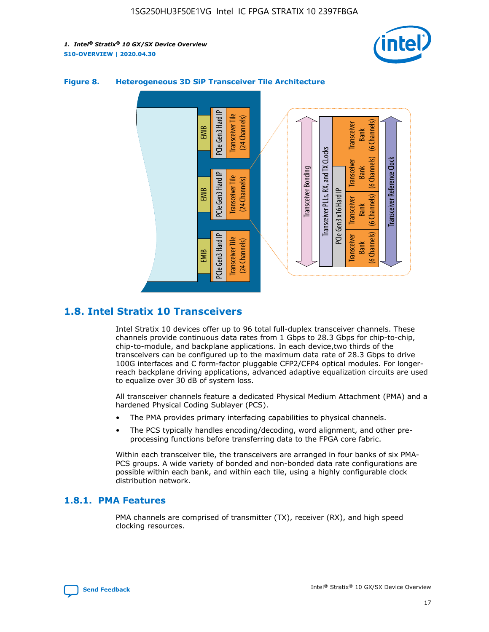



## **Figure 8. Heterogeneous 3D SiP Transceiver Tile Architecture**

## **1.8. Intel Stratix 10 Transceivers**

Intel Stratix 10 devices offer up to 96 total full-duplex transceiver channels. These channels provide continuous data rates from 1 Gbps to 28.3 Gbps for chip-to-chip, chip-to-module, and backplane applications. In each device,two thirds of the transceivers can be configured up to the maximum data rate of 28.3 Gbps to drive 100G interfaces and C form-factor pluggable CFP2/CFP4 optical modules. For longerreach backplane driving applications, advanced adaptive equalization circuits are used to equalize over 30 dB of system loss.

All transceiver channels feature a dedicated Physical Medium Attachment (PMA) and a hardened Physical Coding Sublayer (PCS).

- The PMA provides primary interfacing capabilities to physical channels.
- The PCS typically handles encoding/decoding, word alignment, and other preprocessing functions before transferring data to the FPGA core fabric.

Within each transceiver tile, the transceivers are arranged in four banks of six PMA-PCS groups. A wide variety of bonded and non-bonded data rate configurations are possible within each bank, and within each tile, using a highly configurable clock distribution network.

## **1.8.1. PMA Features**

PMA channels are comprised of transmitter (TX), receiver (RX), and high speed clocking resources.

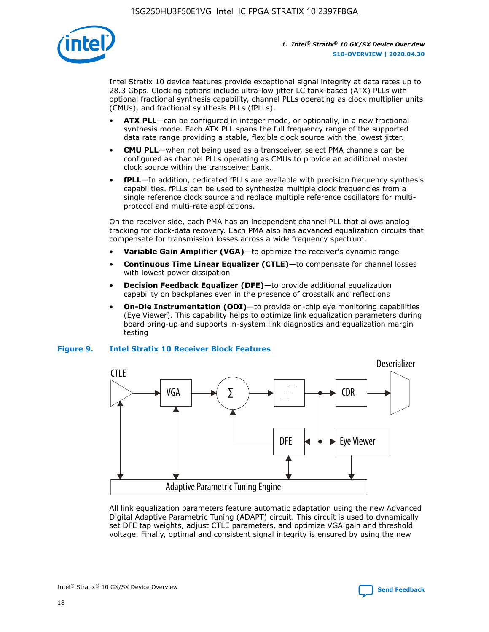

Intel Stratix 10 device features provide exceptional signal integrity at data rates up to 28.3 Gbps. Clocking options include ultra-low jitter LC tank-based (ATX) PLLs with optional fractional synthesis capability, channel PLLs operating as clock multiplier units (CMUs), and fractional synthesis PLLs (fPLLs).

- **ATX PLL**—can be configured in integer mode, or optionally, in a new fractional synthesis mode. Each ATX PLL spans the full frequency range of the supported data rate range providing a stable, flexible clock source with the lowest jitter.
- **CMU PLL**—when not being used as a transceiver, select PMA channels can be configured as channel PLLs operating as CMUs to provide an additional master clock source within the transceiver bank.
- **fPLL**—In addition, dedicated fPLLs are available with precision frequency synthesis capabilities. fPLLs can be used to synthesize multiple clock frequencies from a single reference clock source and replace multiple reference oscillators for multiprotocol and multi-rate applications.

On the receiver side, each PMA has an independent channel PLL that allows analog tracking for clock-data recovery. Each PMA also has advanced equalization circuits that compensate for transmission losses across a wide frequency spectrum.

- **Variable Gain Amplifier (VGA)**—to optimize the receiver's dynamic range
- **Continuous Time Linear Equalizer (CTLE)**—to compensate for channel losses with lowest power dissipation
- **Decision Feedback Equalizer (DFE)**—to provide additional equalization capability on backplanes even in the presence of crosstalk and reflections
- **On-Die Instrumentation (ODI)**—to provide on-chip eye monitoring capabilities (Eye Viewer). This capability helps to optimize link equalization parameters during board bring-up and supports in-system link diagnostics and equalization margin testing

#### **Figure 9. Intel Stratix 10 Receiver Block Features**



All link equalization parameters feature automatic adaptation using the new Advanced Digital Adaptive Parametric Tuning (ADAPT) circuit. This circuit is used to dynamically set DFE tap weights, adjust CTLE parameters, and optimize VGA gain and threshold voltage. Finally, optimal and consistent signal integrity is ensured by using the new



Intel<sup>®</sup> Stratix<sup>®</sup> 10 GX/SX Device Overview **[Send Feedback](mailto:FPGAtechdocfeedback@intel.com?subject=Feedback%20on%20Intel%20Stratix%2010%20GX/SX%20Device%20Overview%20(S10-OVERVIEW%202020.04.30)&body=We%20appreciate%20your%20feedback.%20In%20your%20comments,%20also%20specify%20the%20page%20number%20or%20paragraph.%20Thank%20you.)** Send Feedback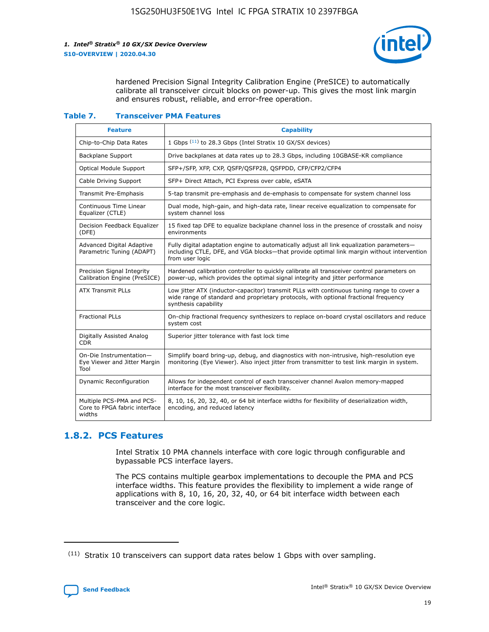

hardened Precision Signal Integrity Calibration Engine (PreSICE) to automatically calibrate all transceiver circuit blocks on power-up. This gives the most link margin and ensures robust, reliable, and error-free operation.

#### **Table 7. Transceiver PMA Features**

| <b>Feature</b>                                                       | <b>Capability</b>                                                                                                                                                                                         |
|----------------------------------------------------------------------|-----------------------------------------------------------------------------------------------------------------------------------------------------------------------------------------------------------|
| Chip-to-Chip Data Rates                                              | 1 Gbps (11) to 28.3 Gbps (Intel Stratix 10 GX/SX devices)                                                                                                                                                 |
| <b>Backplane Support</b>                                             | Drive backplanes at data rates up to 28.3 Gbps, including 10GBASE-KR compliance                                                                                                                           |
| Optical Module Support                                               | SFP+/SFP, XFP, CXP, QSFP/QSFP28, QSFPDD, CFP/CFP2/CFP4                                                                                                                                                    |
| Cable Driving Support                                                | SFP+ Direct Attach, PCI Express over cable, eSATA                                                                                                                                                         |
| <b>Transmit Pre-Emphasis</b>                                         | 5-tap transmit pre-emphasis and de-emphasis to compensate for system channel loss                                                                                                                         |
| Continuous Time Linear<br>Equalizer (CTLE)                           | Dual mode, high-gain, and high-data rate, linear receive equalization to compensate for<br>system channel loss                                                                                            |
| Decision Feedback Equalizer<br>(DFE)                                 | 15 fixed tap DFE to equalize backplane channel loss in the presence of crosstalk and noisy<br>environments                                                                                                |
| Advanced Digital Adaptive<br>Parametric Tuning (ADAPT)               | Fully digital adaptation engine to automatically adjust all link equalization parameters-<br>including CTLE, DFE, and VGA blocks—that provide optimal link margin without intervention<br>from user logic |
| Precision Signal Integrity<br>Calibration Engine (PreSICE)           | Hardened calibration controller to quickly calibrate all transceiver control parameters on<br>power-up, which provides the optimal signal integrity and jitter performance                                |
| <b>ATX Transmit PLLs</b>                                             | Low jitter ATX (inductor-capacitor) transmit PLLs with continuous tuning range to cover a<br>wide range of standard and proprietary protocols, with optional fractional frequency<br>synthesis capability |
| <b>Fractional PLLs</b>                                               | On-chip fractional frequency synthesizers to replace on-board crystal oscillators and reduce<br>system cost                                                                                               |
| Digitally Assisted Analog<br>CDR.                                    | Superior jitter tolerance with fast lock time                                                                                                                                                             |
| On-Die Instrumentation-<br>Eye Viewer and Jitter Margin<br>Tool      | Simplify board bring-up, debug, and diagnostics with non-intrusive, high-resolution eye<br>monitoring (Eye Viewer). Also inject jitter from transmitter to test link margin in system.                    |
| Dynamic Reconfiguration                                              | Allows for independent control of each transceiver channel Avalon memory-mapped<br>interface for the most transceiver flexibility.                                                                        |
| Multiple PCS-PMA and PCS-<br>Core to FPGA fabric interface<br>widths | 8, 10, 16, 20, 32, 40, or 64 bit interface widths for flexibility of deserialization width,<br>encoding, and reduced latency                                                                              |

## **1.8.2. PCS Features**

Intel Stratix 10 PMA channels interface with core logic through configurable and bypassable PCS interface layers.

The PCS contains multiple gearbox implementations to decouple the PMA and PCS interface widths. This feature provides the flexibility to implement a wide range of applications with 8, 10, 16, 20, 32, 40, or 64 bit interface width between each transceiver and the core logic.

 $(11)$  Stratix 10 transceivers can support data rates below 1 Gbps with over sampling.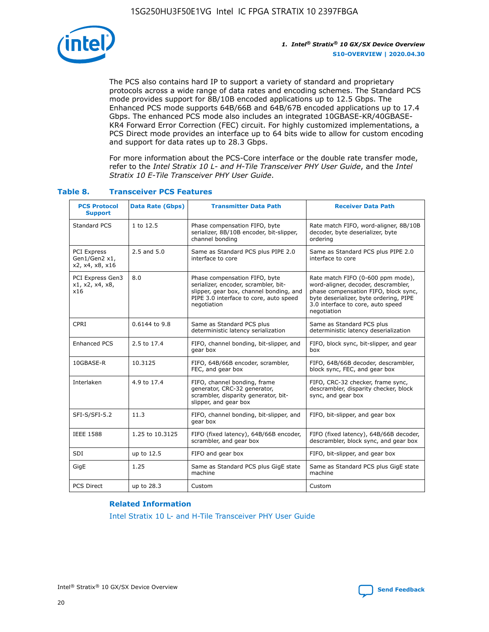

The PCS also contains hard IP to support a variety of standard and proprietary protocols across a wide range of data rates and encoding schemes. The Standard PCS mode provides support for 8B/10B encoded applications up to 12.5 Gbps. The Enhanced PCS mode supports 64B/66B and 64B/67B encoded applications up to 17.4 Gbps. The enhanced PCS mode also includes an integrated 10GBASE-KR/40GBASE-KR4 Forward Error Correction (FEC) circuit. For highly customized implementations, a PCS Direct mode provides an interface up to 64 bits wide to allow for custom encoding and support for data rates up to 28.3 Gbps.

For more information about the PCS-Core interface or the double rate transfer mode, refer to the *Intel Stratix 10 L- and H-Tile Transceiver PHY User Guide*, and the *Intel Stratix 10 E-Tile Transceiver PHY User Guide*.

| <b>PCS Protocol</b><br><b>Support</b>           | <b>Data Rate (Gbps)</b>                                     | <b>Transmitter Data Path</b>                                                                                                                                              | <b>Receiver Data Path</b>                                                                                                                                                                                      |
|-------------------------------------------------|-------------------------------------------------------------|---------------------------------------------------------------------------------------------------------------------------------------------------------------------------|----------------------------------------------------------------------------------------------------------------------------------------------------------------------------------------------------------------|
| Standard PCS                                    | 1 to 12.5                                                   | Phase compensation FIFO, byte<br>serializer, 8B/10B encoder, bit-slipper,<br>channel bonding                                                                              | Rate match FIFO, word-aligner, 8B/10B<br>decoder, byte deserializer, byte<br>ordering                                                                                                                          |
| PCI Express<br>Gen1/Gen2 x1,<br>x2, x4, x8, x16 | $2.5$ and $5.0$                                             | Same as Standard PCS plus PIPE 2.0<br>interface to core                                                                                                                   | Same as Standard PCS plus PIPE 2.0<br>interface to core                                                                                                                                                        |
| PCI Express Gen3<br>x1, x2, x4, x8,<br>x16      | 8.0                                                         | Phase compensation FIFO, byte<br>serializer, encoder, scrambler, bit-<br>slipper, gear box, channel bonding, and<br>PIPE 3.0 interface to core, auto speed<br>negotiation | Rate match FIFO (0-600 ppm mode),<br>word-aligner, decoder, descrambler,<br>phase compensation FIFO, block sync,<br>byte deserializer, byte ordering, PIPE<br>3.0 interface to core, auto speed<br>negotiation |
| CPRI                                            | 0.6144 to 9.8                                               | Same as Standard PCS plus<br>deterministic latency serialization                                                                                                          | Same as Standard PCS plus<br>deterministic latency deserialization                                                                                                                                             |
| <b>Enhanced PCS</b>                             | 2.5 to 17.4                                                 | FIFO, channel bonding, bit-slipper, and<br>gear box                                                                                                                       | FIFO, block sync, bit-slipper, and gear<br>box                                                                                                                                                                 |
| 10GBASE-R                                       | 10.3125                                                     | FIFO, 64B/66B encoder, scrambler,<br>FEC, and gear box                                                                                                                    | FIFO, 64B/66B decoder, descrambler,<br>block sync, FEC, and gear box                                                                                                                                           |
| Interlaken                                      | 4.9 to 17.4                                                 | FIFO, channel bonding, frame<br>generator, CRC-32 generator,<br>scrambler, disparity generator, bit-<br>slipper, and gear box                                             | FIFO, CRC-32 checker, frame sync,<br>descrambler, disparity checker, block<br>sync, and gear box                                                                                                               |
| SFI-S/SFI-5.2                                   | 11.3<br>FIFO, channel bonding, bit-slipper, and<br>gear box |                                                                                                                                                                           | FIFO, bit-slipper, and gear box                                                                                                                                                                                |
| <b>IEEE 1588</b>                                | 1.25 to 10.3125                                             | FIFO (fixed latency), 64B/66B encoder,<br>scrambler, and gear box                                                                                                         | FIFO (fixed latency), 64B/66B decoder,<br>descrambler, block sync, and gear box                                                                                                                                |
| SDI                                             | up to 12.5                                                  | FIFO and gear box                                                                                                                                                         | FIFO, bit-slipper, and gear box                                                                                                                                                                                |
| GigE                                            | 1.25                                                        | Same as Standard PCS plus GigE state<br>machine                                                                                                                           | Same as Standard PCS plus GigE state<br>machine                                                                                                                                                                |
| <b>PCS Direct</b>                               | up to 28.3                                                  | Custom                                                                                                                                                                    | Custom                                                                                                                                                                                                         |

## **Table 8. Transceiver PCS Features**

#### **Related Information**

[Intel Stratix 10 L- and H-Tile Transceiver PHY User Guide](https://www.altera.com/documentation/wry1479165198810.html)

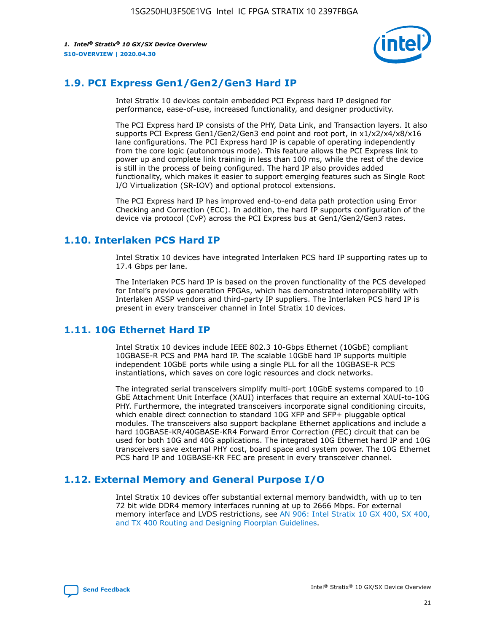

## **1.9. PCI Express Gen1/Gen2/Gen3 Hard IP**

Intel Stratix 10 devices contain embedded PCI Express hard IP designed for performance, ease-of-use, increased functionality, and designer productivity.

The PCI Express hard IP consists of the PHY, Data Link, and Transaction layers. It also supports PCI Express Gen1/Gen2/Gen3 end point and root port, in x1/x2/x4/x8/x16 lane configurations. The PCI Express hard IP is capable of operating independently from the core logic (autonomous mode). This feature allows the PCI Express link to power up and complete link training in less than 100 ms, while the rest of the device is still in the process of being configured. The hard IP also provides added functionality, which makes it easier to support emerging features such as Single Root I/O Virtualization (SR-IOV) and optional protocol extensions.

The PCI Express hard IP has improved end-to-end data path protection using Error Checking and Correction (ECC). In addition, the hard IP supports configuration of the device via protocol (CvP) across the PCI Express bus at Gen1/Gen2/Gen3 rates.

## **1.10. Interlaken PCS Hard IP**

Intel Stratix 10 devices have integrated Interlaken PCS hard IP supporting rates up to 17.4 Gbps per lane.

The Interlaken PCS hard IP is based on the proven functionality of the PCS developed for Intel's previous generation FPGAs, which has demonstrated interoperability with Interlaken ASSP vendors and third-party IP suppliers. The Interlaken PCS hard IP is present in every transceiver channel in Intel Stratix 10 devices.

## **1.11. 10G Ethernet Hard IP**

Intel Stratix 10 devices include IEEE 802.3 10-Gbps Ethernet (10GbE) compliant 10GBASE-R PCS and PMA hard IP. The scalable 10GbE hard IP supports multiple independent 10GbE ports while using a single PLL for all the 10GBASE-R PCS instantiations, which saves on core logic resources and clock networks.

The integrated serial transceivers simplify multi-port 10GbE systems compared to 10 GbE Attachment Unit Interface (XAUI) interfaces that require an external XAUI-to-10G PHY. Furthermore, the integrated transceivers incorporate signal conditioning circuits, which enable direct connection to standard 10G XFP and SFP+ pluggable optical modules. The transceivers also support backplane Ethernet applications and include a hard 10GBASE-KR/40GBASE-KR4 Forward Error Correction (FEC) circuit that can be used for both 10G and 40G applications. The integrated 10G Ethernet hard IP and 10G transceivers save external PHY cost, board space and system power. The 10G Ethernet PCS hard IP and 10GBASE-KR FEC are present in every transceiver channel.

## **1.12. External Memory and General Purpose I/O**

Intel Stratix 10 devices offer substantial external memory bandwidth, with up to ten 72 bit wide DDR4 memory interfaces running at up to 2666 Mbps. For external memory interface and LVDS restrictions, see [AN 906: Intel Stratix 10 GX 400, SX 400,](https://www.intel.com/content/www/us/en/programmable/documentation/sjf1574667190623.html#bft1574667627484) [and TX 400 Routing and Designing Floorplan Guidelines.](https://www.intel.com/content/www/us/en/programmable/documentation/sjf1574667190623.html#bft1574667627484)

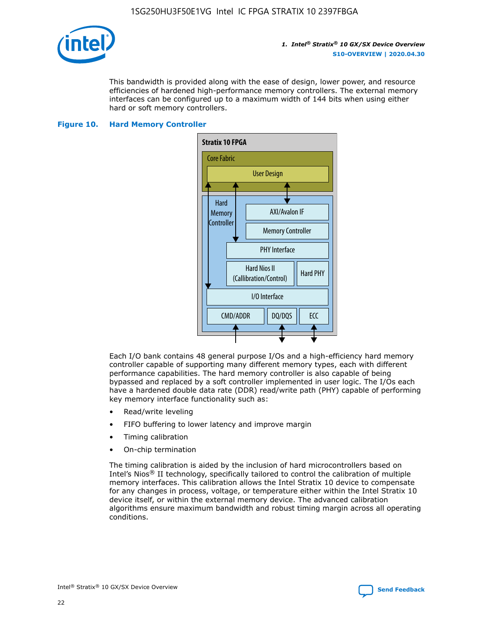

This bandwidth is provided along with the ease of design, lower power, and resource efficiencies of hardened high-performance memory controllers. The external memory interfaces can be configured up to a maximum width of 144 bits when using either hard or soft memory controllers.

## **Figure 10. Hard Memory Controller**



Each I/O bank contains 48 general purpose I/Os and a high-efficiency hard memory controller capable of supporting many different memory types, each with different performance capabilities. The hard memory controller is also capable of being bypassed and replaced by a soft controller implemented in user logic. The I/Os each have a hardened double data rate (DDR) read/write path (PHY) capable of performing key memory interface functionality such as:

- Read/write leveling
- FIFO buffering to lower latency and improve margin
- Timing calibration
- On-chip termination

The timing calibration is aided by the inclusion of hard microcontrollers based on Intel's Nios® II technology, specifically tailored to control the calibration of multiple memory interfaces. This calibration allows the Intel Stratix 10 device to compensate for any changes in process, voltage, or temperature either within the Intel Stratix 10 device itself, or within the external memory device. The advanced calibration algorithms ensure maximum bandwidth and robust timing margin across all operating conditions.

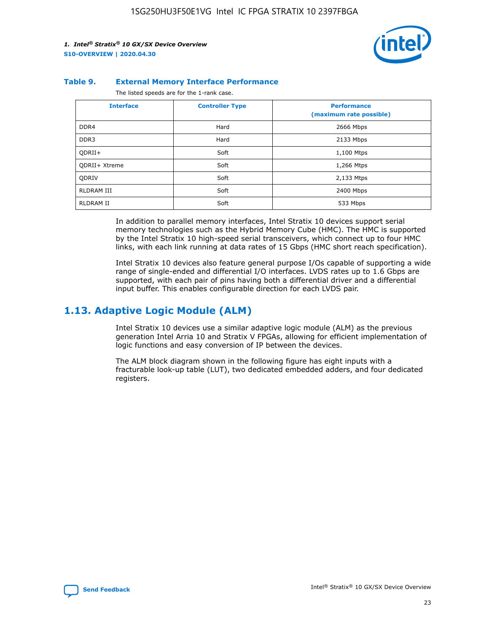

#### **Table 9. External Memory Interface Performance**

The listed speeds are for the 1-rank case.

| <b>Interface</b>     | <b>Controller Type</b> | <b>Performance</b><br>(maximum rate possible) |
|----------------------|------------------------|-----------------------------------------------|
| DDR4                 | Hard                   | 2666 Mbps                                     |
| DDR <sub>3</sub>     | Hard                   | 2133 Mbps                                     |
| QDRII+               | Soft                   | 1,100 Mtps                                    |
| <b>ODRII+ Xtreme</b> | Soft                   | 1,266 Mtps                                    |
| <b>ODRIV</b>         | Soft                   | 2,133 Mtps                                    |
| Soft<br>RLDRAM III   |                        | 2400 Mbps                                     |
| <b>RLDRAM II</b>     | Soft                   | 533 Mbps                                      |

In addition to parallel memory interfaces, Intel Stratix 10 devices support serial memory technologies such as the Hybrid Memory Cube (HMC). The HMC is supported by the Intel Stratix 10 high-speed serial transceivers, which connect up to four HMC links, with each link running at data rates of 15 Gbps (HMC short reach specification).

Intel Stratix 10 devices also feature general purpose I/Os capable of supporting a wide range of single-ended and differential I/O interfaces. LVDS rates up to 1.6 Gbps are supported, with each pair of pins having both a differential driver and a differential input buffer. This enables configurable direction for each LVDS pair.

## **1.13. Adaptive Logic Module (ALM)**

Intel Stratix 10 devices use a similar adaptive logic module (ALM) as the previous generation Intel Arria 10 and Stratix V FPGAs, allowing for efficient implementation of logic functions and easy conversion of IP between the devices.

The ALM block diagram shown in the following figure has eight inputs with a fracturable look-up table (LUT), two dedicated embedded adders, and four dedicated registers.

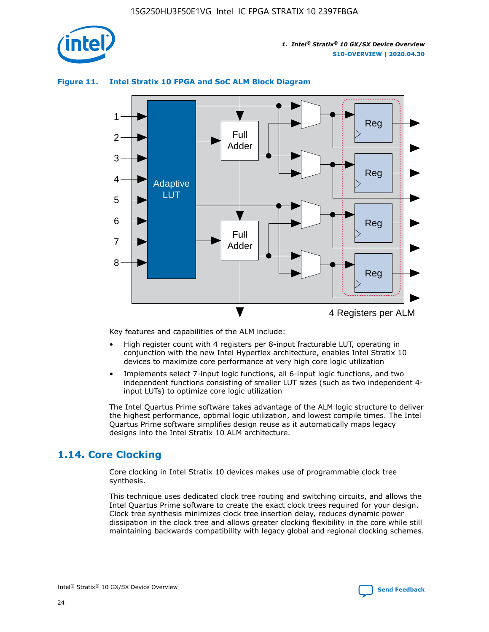

## **Figure 11. Intel Stratix 10 FPGA and SoC ALM Block Diagram**



Key features and capabilities of the ALM include:

- High register count with 4 registers per 8-input fracturable LUT, operating in conjunction with the new Intel Hyperflex architecture, enables Intel Stratix 10 devices to maximize core performance at very high core logic utilization
- Implements select 7-input logic functions, all 6-input logic functions, and two independent functions consisting of smaller LUT sizes (such as two independent 4 input LUTs) to optimize core logic utilization

The Intel Quartus Prime software takes advantage of the ALM logic structure to deliver the highest performance, optimal logic utilization, and lowest compile times. The Intel Quartus Prime software simplifies design reuse as it automatically maps legacy designs into the Intel Stratix 10 ALM architecture.

## **1.14. Core Clocking**

Core clocking in Intel Stratix 10 devices makes use of programmable clock tree synthesis.

This technique uses dedicated clock tree routing and switching circuits, and allows the Intel Quartus Prime software to create the exact clock trees required for your design. Clock tree synthesis minimizes clock tree insertion delay, reduces dynamic power dissipation in the clock tree and allows greater clocking flexibility in the core while still maintaining backwards compatibility with legacy global and regional clocking schemes.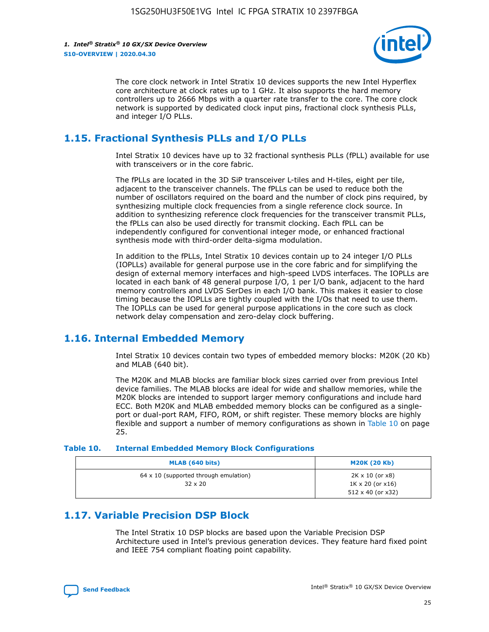

The core clock network in Intel Stratix 10 devices supports the new Intel Hyperflex core architecture at clock rates up to 1 GHz. It also supports the hard memory controllers up to 2666 Mbps with a quarter rate transfer to the core. The core clock network is supported by dedicated clock input pins, fractional clock synthesis PLLs, and integer I/O PLLs.

## **1.15. Fractional Synthesis PLLs and I/O PLLs**

Intel Stratix 10 devices have up to 32 fractional synthesis PLLs (fPLL) available for use with transceivers or in the core fabric.

The fPLLs are located in the 3D SiP transceiver L-tiles and H-tiles, eight per tile, adjacent to the transceiver channels. The fPLLs can be used to reduce both the number of oscillators required on the board and the number of clock pins required, by synthesizing multiple clock frequencies from a single reference clock source. In addition to synthesizing reference clock frequencies for the transceiver transmit PLLs, the fPLLs can also be used directly for transmit clocking. Each fPLL can be independently configured for conventional integer mode, or enhanced fractional synthesis mode with third-order delta-sigma modulation.

In addition to the fPLLs, Intel Stratix 10 devices contain up to 24 integer I/O PLLs (IOPLLs) available for general purpose use in the core fabric and for simplifying the design of external memory interfaces and high-speed LVDS interfaces. The IOPLLs are located in each bank of 48 general purpose I/O, 1 per I/O bank, adjacent to the hard memory controllers and LVDS SerDes in each I/O bank. This makes it easier to close timing because the IOPLLs are tightly coupled with the I/Os that need to use them. The IOPLLs can be used for general purpose applications in the core such as clock network delay compensation and zero-delay clock buffering.

## **1.16. Internal Embedded Memory**

Intel Stratix 10 devices contain two types of embedded memory blocks: M20K (20 Kb) and MLAB (640 bit).

The M20K and MLAB blocks are familiar block sizes carried over from previous Intel device families. The MLAB blocks are ideal for wide and shallow memories, while the M20K blocks are intended to support larger memory configurations and include hard ECC. Both M20K and MLAB embedded memory blocks can be configured as a singleport or dual-port RAM, FIFO, ROM, or shift register. These memory blocks are highly flexible and support a number of memory configurations as shown in Table 10 on page 25.

#### **Table 10. Internal Embedded Memory Block Configurations**

| MLAB (640 bits)                                                | <b>M20K (20 Kb)</b>                                                                    |
|----------------------------------------------------------------|----------------------------------------------------------------------------------------|
| $64 \times 10$ (supported through emulation)<br>$32 \times 20$ | $2K \times 10$ (or $x8$ )<br>$1K \times 20$ (or $x16$ )<br>$512 \times 40$ (or $x32$ ) |

## **1.17. Variable Precision DSP Block**

The Intel Stratix 10 DSP blocks are based upon the Variable Precision DSP Architecture used in Intel's previous generation devices. They feature hard fixed point and IEEE 754 compliant floating point capability.

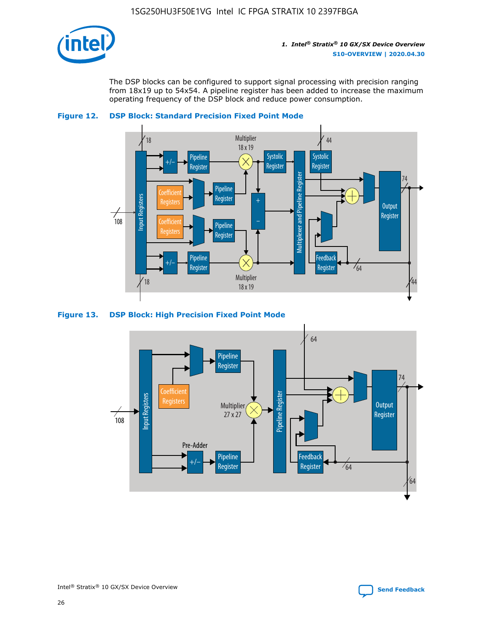

The DSP blocks can be configured to support signal processing with precision ranging from 18x19 up to 54x54. A pipeline register has been added to increase the maximum operating frequency of the DSP block and reduce power consumption.





#### **Figure 13. DSP Block: High Precision Fixed Point Mode**

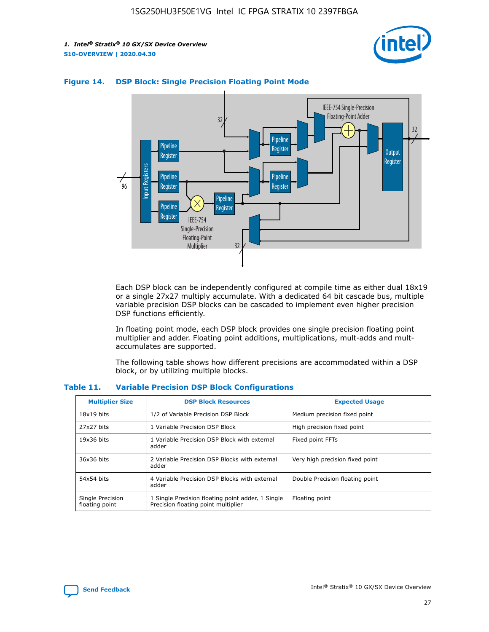



## **Figure 14. DSP Block: Single Precision Floating Point Mode**

Each DSP block can be independently configured at compile time as either dual 18x19 or a single 27x27 multiply accumulate. With a dedicated 64 bit cascade bus, multiple variable precision DSP blocks can be cascaded to implement even higher precision DSP functions efficiently.

In floating point mode, each DSP block provides one single precision floating point multiplier and adder. Floating point additions, multiplications, mult-adds and multaccumulates are supported.

The following table shows how different precisions are accommodated within a DSP block, or by utilizing multiple blocks.

| <b>Multiplier Size</b>             | <b>DSP Block Resources</b>                                                               | <b>Expected Usage</b>           |
|------------------------------------|------------------------------------------------------------------------------------------|---------------------------------|
| $18x19$ bits                       | 1/2 of Variable Precision DSP Block                                                      | Medium precision fixed point    |
| 27x27 bits                         | 1 Variable Precision DSP Block                                                           | High precision fixed point      |
| $19x36$ bits                       | 1 Variable Precision DSP Block with external<br>adder                                    | Fixed point FFTs                |
| 36x36 bits                         | 2 Variable Precision DSP Blocks with external<br>adder                                   | Very high precision fixed point |
| 54x54 bits                         | 4 Variable Precision DSP Blocks with external<br>adder                                   | Double Precision floating point |
| Single Precision<br>floating point | 1 Single Precision floating point adder, 1 Single<br>Precision floating point multiplier | Floating point                  |

#### **Table 11. Variable Precision DSP Block Configurations**

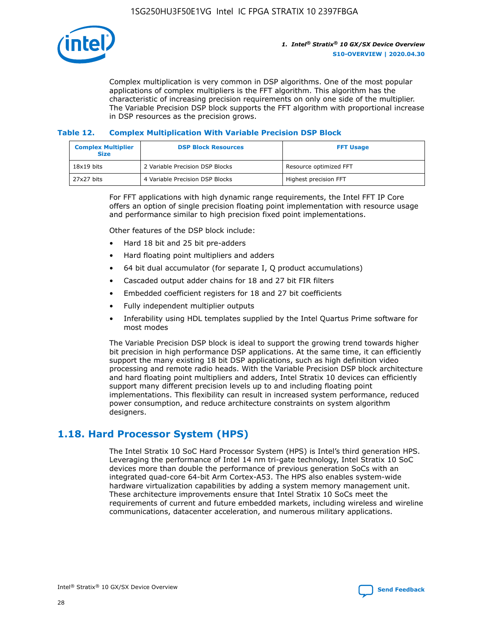

Complex multiplication is very common in DSP algorithms. One of the most popular applications of complex multipliers is the FFT algorithm. This algorithm has the characteristic of increasing precision requirements on only one side of the multiplier. The Variable Precision DSP block supports the FFT algorithm with proportional increase in DSP resources as the precision grows.

## **Table 12. Complex Multiplication With Variable Precision DSP Block**

| <b>Complex Multiplier</b><br><b>Size</b> | <b>DSP Block Resources</b>      | <b>FFT Usage</b>       |
|------------------------------------------|---------------------------------|------------------------|
| $18x19$ bits                             | 2 Variable Precision DSP Blocks | Resource optimized FFT |
| 27x27 bits                               | 4 Variable Precision DSP Blocks | Highest precision FFT  |

For FFT applications with high dynamic range requirements, the Intel FFT IP Core offers an option of single precision floating point implementation with resource usage and performance similar to high precision fixed point implementations.

Other features of the DSP block include:

- Hard 18 bit and 25 bit pre-adders
- Hard floating point multipliers and adders
- 64 bit dual accumulator (for separate I, Q product accumulations)
- Cascaded output adder chains for 18 and 27 bit FIR filters
- Embedded coefficient registers for 18 and 27 bit coefficients
- Fully independent multiplier outputs
- Inferability using HDL templates supplied by the Intel Quartus Prime software for most modes

The Variable Precision DSP block is ideal to support the growing trend towards higher bit precision in high performance DSP applications. At the same time, it can efficiently support the many existing 18 bit DSP applications, such as high definition video processing and remote radio heads. With the Variable Precision DSP block architecture and hard floating point multipliers and adders, Intel Stratix 10 devices can efficiently support many different precision levels up to and including floating point implementations. This flexibility can result in increased system performance, reduced power consumption, and reduce architecture constraints on system algorithm designers.

## **1.18. Hard Processor System (HPS)**

The Intel Stratix 10 SoC Hard Processor System (HPS) is Intel's third generation HPS. Leveraging the performance of Intel 14 nm tri-gate technology, Intel Stratix 10 SoC devices more than double the performance of previous generation SoCs with an integrated quad-core 64-bit Arm Cortex-A53. The HPS also enables system-wide hardware virtualization capabilities by adding a system memory management unit. These architecture improvements ensure that Intel Stratix 10 SoCs meet the requirements of current and future embedded markets, including wireless and wireline communications, datacenter acceleration, and numerous military applications.

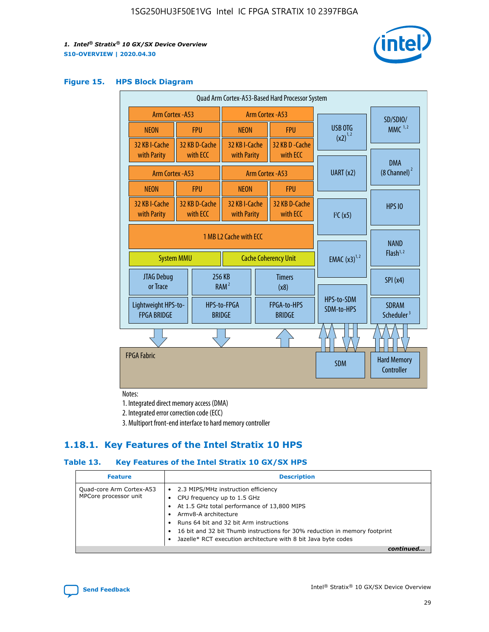

#### **Figure 15. HPS Block Diagram**

| Quad Arm Cortex-A53-Based Hard Processor System |                        |                           |                               |                       |                              |                             |                          |                                        |                          |                                     |
|-------------------------------------------------|------------------------|---------------------------|-------------------------------|-----------------------|------------------------------|-----------------------------|--------------------------|----------------------------------------|--------------------------|-------------------------------------|
| <b>Arm Cortex - A53</b>                         |                        |                           | Arm Cortex - A53              |                       |                              |                             | SD/SDIO/                 |                                        |                          |                                     |
| <b>NEON</b>                                     |                        | <b>FPU</b>                | <b>NEON</b>                   |                       | <b>FPU</b>                   |                             | USB OTG                  | $MMC$ <sup>1,2</sup>                   |                          |                                     |
| 32 KB I-Cache                                   |                        | 32 KB D-Cache             | 32 KB I-Cache                 |                       | 32 KB D - Cache              |                             | $(x2)^{1,2}$             |                                        |                          |                                     |
| with Parity                                     |                        | with ECC                  | with Parity                   |                       | with ECC                     |                             |                          | <b>DMA</b>                             |                          |                                     |
| Arm Cortex - A53                                |                        |                           | UART (x2)<br>Arm Cortex - A53 |                       |                              | $(8 \text{ Channel})^2$     |                          |                                        |                          |                                     |
| <b>NEON</b>                                     |                        | <b>FPU</b>                | <b>NEON</b>                   |                       | <b>FPU</b>                   |                             |                          |                                        |                          |                                     |
| 32 KB I-Cache<br>with Parity                    |                        | 32 KB D-Cache<br>with ECC | 32 KB I-Cache<br>with Parity  |                       | 32 KB D-Cache<br>with ECC    |                             | I <sup>2</sup> C(x5)     | <b>HPS 10</b>                          |                          |                                     |
|                                                 | 1 MB L2 Cache with ECC |                           |                               |                       |                              |                             |                          |                                        |                          |                                     |
| <b>System MMU</b>                               |                        |                           |                               |                       |                              | <b>Cache Coherency Unit</b> |                          |                                        | <b>EMAC</b> $(x3)^{1,2}$ | <b>NAND</b><br>Flash <sup>1,2</sup> |
| JTAG Debug<br>or Trace                          |                        |                           | 256 KB<br>RAM <sup>2</sup>    | <b>Timers</b><br>(x8) |                              |                             |                          | SPI(x4)                                |                          |                                     |
| Lightweight HPS-to-<br><b>FPGA BRIDGE</b>       |                        |                           | HPS-to-FPGA<br><b>BRIDGE</b>  |                       | FPGA-to-HPS<br><b>BRIDGE</b> |                             | HPS-to-SDM<br>SDM-to-HPS | <b>SDRAM</b><br>Scheduler <sup>3</sup> |                          |                                     |
|                                                 |                        |                           |                               |                       |                              |                             |                          |                                        |                          |                                     |
| <b>FPGA Fabric</b>                              |                        |                           |                               |                       |                              |                             | <b>SDM</b>               | <b>Hard Memory</b><br>Controller       |                          |                                     |
|                                                 |                        |                           |                               |                       |                              |                             |                          |                                        |                          |                                     |

Notes:

1. Integrated direct memory access (DMA)

2. Integrated error correction code (ECC)

3. Multiport front-end interface to hard memory controller

## **1.18.1. Key Features of the Intel Stratix 10 HPS**

## **Table 13. Key Features of the Intel Stratix 10 GX/SX HPS**

| <b>Feature</b>                                    | <b>Description</b>                                                                                                                                                                                                                                                                                                                                     |
|---------------------------------------------------|--------------------------------------------------------------------------------------------------------------------------------------------------------------------------------------------------------------------------------------------------------------------------------------------------------------------------------------------------------|
| Quad-core Arm Cortex-A53<br>MPCore processor unit | 2.3 MIPS/MHz instruction efficiency<br>$\bullet$<br>CPU frequency up to 1.5 GHz<br>٠<br>At 1.5 GHz total performance of 13,800 MIPS<br>Army8-A architecture<br>Runs 64 bit and 32 bit Arm instructions<br>16 bit and 32 bit Thumb instructions for 30% reduction in memory footprint<br>Jazelle* RCT execution architecture with 8 bit Java byte codes |
|                                                   |                                                                                                                                                                                                                                                                                                                                                        |

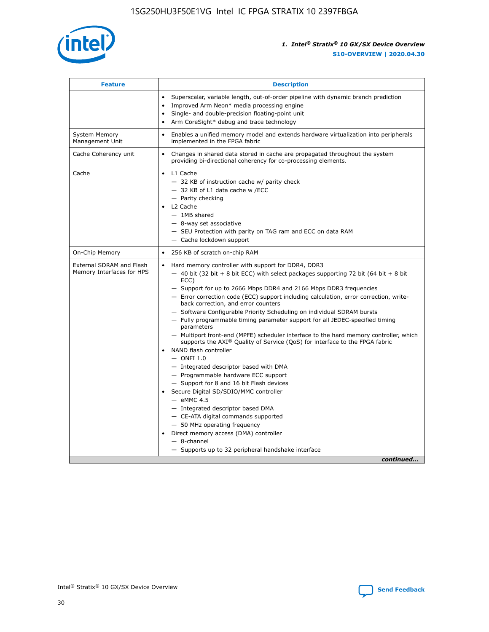

| <b>Feature</b>                                        | <b>Description</b>                                                                                                                                                                                                                                                                                                                                                                                                                                                                                                                                                                                                                                                                                                                                                                                                                                                                                                                                                                                                                                                                                                                                                                                               |  |  |
|-------------------------------------------------------|------------------------------------------------------------------------------------------------------------------------------------------------------------------------------------------------------------------------------------------------------------------------------------------------------------------------------------------------------------------------------------------------------------------------------------------------------------------------------------------------------------------------------------------------------------------------------------------------------------------------------------------------------------------------------------------------------------------------------------------------------------------------------------------------------------------------------------------------------------------------------------------------------------------------------------------------------------------------------------------------------------------------------------------------------------------------------------------------------------------------------------------------------------------------------------------------------------------|--|--|
|                                                       | Superscalar, variable length, out-of-order pipeline with dynamic branch prediction<br>Improved Arm Neon* media processing engine<br>Single- and double-precision floating-point unit<br>Arm CoreSight* debug and trace technology<br>$\bullet$                                                                                                                                                                                                                                                                                                                                                                                                                                                                                                                                                                                                                                                                                                                                                                                                                                                                                                                                                                   |  |  |
| <b>System Memory</b><br>Management Unit               | Enables a unified memory model and extends hardware virtualization into peripherals<br>implemented in the FPGA fabric                                                                                                                                                                                                                                                                                                                                                                                                                                                                                                                                                                                                                                                                                                                                                                                                                                                                                                                                                                                                                                                                                            |  |  |
| Cache Coherency unit                                  | Changes in shared data stored in cache are propagated throughout the system<br>$\bullet$<br>providing bi-directional coherency for co-processing elements.                                                                                                                                                                                                                                                                                                                                                                                                                                                                                                                                                                                                                                                                                                                                                                                                                                                                                                                                                                                                                                                       |  |  |
| Cache                                                 | L1 Cache<br>$\bullet$<br>- 32 KB of instruction cache w/ parity check<br>- 32 KB of L1 data cache w /ECC<br>- Parity checking<br>L <sub>2</sub> Cache<br>$-$ 1MB shared<br>$-$ 8-way set associative<br>- SEU Protection with parity on TAG ram and ECC on data RAM<br>- Cache lockdown support                                                                                                                                                                                                                                                                                                                                                                                                                                                                                                                                                                                                                                                                                                                                                                                                                                                                                                                  |  |  |
| On-Chip Memory                                        | 256 KB of scratch on-chip RAM                                                                                                                                                                                                                                                                                                                                                                                                                                                                                                                                                                                                                                                                                                                                                                                                                                                                                                                                                                                                                                                                                                                                                                                    |  |  |
| External SDRAM and Flash<br>Memory Interfaces for HPS | Hard memory controller with support for DDR4, DDR3<br>$\bullet$<br>$-$ 40 bit (32 bit + 8 bit ECC) with select packages supporting 72 bit (64 bit + 8 bit<br>ECC)<br>- Support for up to 2666 Mbps DDR4 and 2166 Mbps DDR3 frequencies<br>- Error correction code (ECC) support including calculation, error correction, write-<br>back correction, and error counters<br>- Software Configurable Priority Scheduling on individual SDRAM bursts<br>- Fully programmable timing parameter support for all JEDEC-specified timing<br>parameters<br>- Multiport front-end (MPFE) scheduler interface to the hard memory controller, which<br>supports the $AXI^{\circledR}$ Quality of Service (QoS) for interface to the FPGA fabric<br>NAND flash controller<br>$-$ ONFI 1.0<br>- Integrated descriptor based with DMA<br>- Programmable hardware ECC support<br>- Support for 8 and 16 bit Flash devices<br>Secure Digital SD/SDIO/MMC controller<br>$-$ eMMC 4.5<br>- Integrated descriptor based DMA<br>- CE-ATA digital commands supported<br>- 50 MHz operating frequency<br>Direct memory access (DMA) controller<br>٠<br>$-$ 8-channel<br>- Supports up to 32 peripheral handshake interface<br>continued |  |  |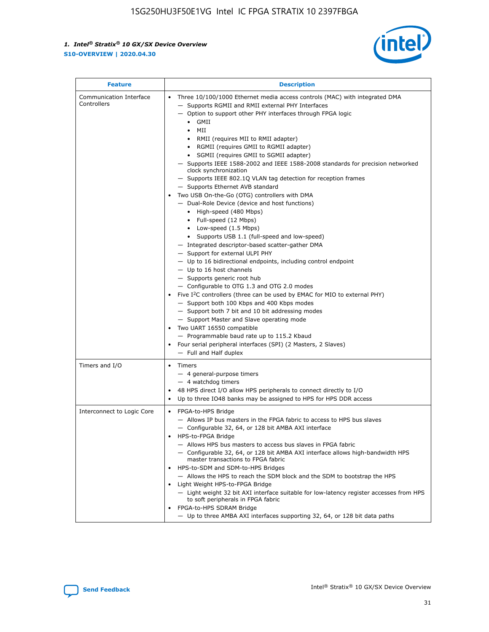

| <b>Feature</b>                         | <b>Description</b>                                                                                                                                                                                                                                                                                                                                                                                                                                                                                                                                                                                                                                                                                                                                                                                                                                                                                                                                                                                                                                                                                                                                                                                                                                                                                                                                                                                                                                                                                                  |  |
|----------------------------------------|---------------------------------------------------------------------------------------------------------------------------------------------------------------------------------------------------------------------------------------------------------------------------------------------------------------------------------------------------------------------------------------------------------------------------------------------------------------------------------------------------------------------------------------------------------------------------------------------------------------------------------------------------------------------------------------------------------------------------------------------------------------------------------------------------------------------------------------------------------------------------------------------------------------------------------------------------------------------------------------------------------------------------------------------------------------------------------------------------------------------------------------------------------------------------------------------------------------------------------------------------------------------------------------------------------------------------------------------------------------------------------------------------------------------------------------------------------------------------------------------------------------------|--|
| Communication Interface<br>Controllers | Three 10/100/1000 Ethernet media access controls (MAC) with integrated DMA<br>$\bullet$<br>- Supports RGMII and RMII external PHY Interfaces<br>- Option to support other PHY interfaces through FPGA logic<br>GMII<br>$\bullet$<br>MII<br>$\bullet$<br>• RMII (requires MII to RMII adapter)<br>• RGMII (requires GMII to RGMII adapter)<br>• SGMII (requires GMII to SGMII adapter)<br>- Supports IEEE 1588-2002 and IEEE 1588-2008 standards for precision networked<br>clock synchronization<br>- Supports IEEE 802.1Q VLAN tag detection for reception frames<br>- Supports Ethernet AVB standard<br>Two USB On-the-Go (OTG) controllers with DMA<br>- Dual-Role Device (device and host functions)<br>• High-speed (480 Mbps)<br>• Full-speed (12 Mbps)<br>• Low-speed (1.5 Mbps)<br>• Supports USB 1.1 (full-speed and low-speed)<br>- Integrated descriptor-based scatter-gather DMA<br>- Support for external ULPI PHY<br>- Up to 16 bidirectional endpoints, including control endpoint<br>$-$ Up to 16 host channels<br>- Supports generic root hub<br>- Configurable to OTG 1.3 and OTG 2.0 modes<br>Five $I^2C$ controllers (three can be used by EMAC for MIO to external PHY)<br>- Support both 100 Kbps and 400 Kbps modes<br>- Support both 7 bit and 10 bit addressing modes<br>- Support Master and Slave operating mode<br>Two UART 16550 compatible<br>- Programmable baud rate up to 115.2 Kbaud<br>• Four serial peripheral interfaces (SPI) (2 Masters, 2 Slaves)<br>- Full and Half duplex |  |
| Timers and I/O                         | $\bullet$ Timers<br>- 4 general-purpose timers<br>$-4$ watchdog timers<br>48 HPS direct I/O allow HPS peripherals to connect directly to I/O<br>Up to three IO48 banks may be assigned to HPS for HPS DDR access                                                                                                                                                                                                                                                                                                                                                                                                                                                                                                                                                                                                                                                                                                                                                                                                                                                                                                                                                                                                                                                                                                                                                                                                                                                                                                    |  |
| Interconnect to Logic Core             | • FPGA-to-HPS Bridge<br>- Allows IP bus masters in the FPGA fabric to access to HPS bus slaves<br>- Configurable 32, 64, or 128 bit AMBA AXI interface<br>HPS-to-FPGA Bridge<br>- Allows HPS bus masters to access bus slaves in FPGA fabric<br>- Configurable 32, 64, or 128 bit AMBA AXI interface allows high-bandwidth HPS<br>master transactions to FPGA fabric<br>HPS-to-SDM and SDM-to-HPS Bridges<br>- Allows the HPS to reach the SDM block and the SDM to bootstrap the HPS<br>Light Weight HPS-to-FPGA Bridge<br>- Light weight 32 bit AXI interface suitable for low-latency register accesses from HPS<br>to soft peripherals in FPGA fabric<br>FPGA-to-HPS SDRAM Bridge<br>- Up to three AMBA AXI interfaces supporting 32, 64, or 128 bit data paths                                                                                                                                                                                                                                                                                                                                                                                                                                                                                                                                                                                                                                                                                                                                                 |  |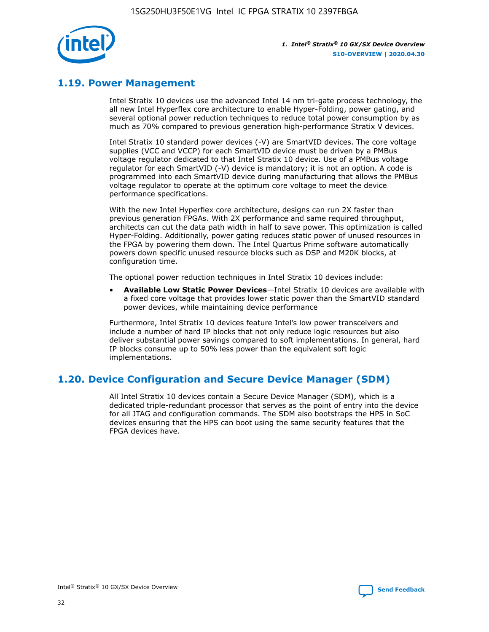

## **1.19. Power Management**

Intel Stratix 10 devices use the advanced Intel 14 nm tri-gate process technology, the all new Intel Hyperflex core architecture to enable Hyper-Folding, power gating, and several optional power reduction techniques to reduce total power consumption by as much as 70% compared to previous generation high-performance Stratix V devices.

Intel Stratix 10 standard power devices (-V) are SmartVID devices. The core voltage supplies (VCC and VCCP) for each SmartVID device must be driven by a PMBus voltage regulator dedicated to that Intel Stratix 10 device. Use of a PMBus voltage regulator for each SmartVID (-V) device is mandatory; it is not an option. A code is programmed into each SmartVID device during manufacturing that allows the PMBus voltage regulator to operate at the optimum core voltage to meet the device performance specifications.

With the new Intel Hyperflex core architecture, designs can run 2X faster than previous generation FPGAs. With 2X performance and same required throughput, architects can cut the data path width in half to save power. This optimization is called Hyper-Folding. Additionally, power gating reduces static power of unused resources in the FPGA by powering them down. The Intel Quartus Prime software automatically powers down specific unused resource blocks such as DSP and M20K blocks, at configuration time.

The optional power reduction techniques in Intel Stratix 10 devices include:

• **Available Low Static Power Devices**—Intel Stratix 10 devices are available with a fixed core voltage that provides lower static power than the SmartVID standard power devices, while maintaining device performance

Furthermore, Intel Stratix 10 devices feature Intel's low power transceivers and include a number of hard IP blocks that not only reduce logic resources but also deliver substantial power savings compared to soft implementations. In general, hard IP blocks consume up to 50% less power than the equivalent soft logic implementations.

## **1.20. Device Configuration and Secure Device Manager (SDM)**

All Intel Stratix 10 devices contain a Secure Device Manager (SDM), which is a dedicated triple-redundant processor that serves as the point of entry into the device for all JTAG and configuration commands. The SDM also bootstraps the HPS in SoC devices ensuring that the HPS can boot using the same security features that the FPGA devices have.

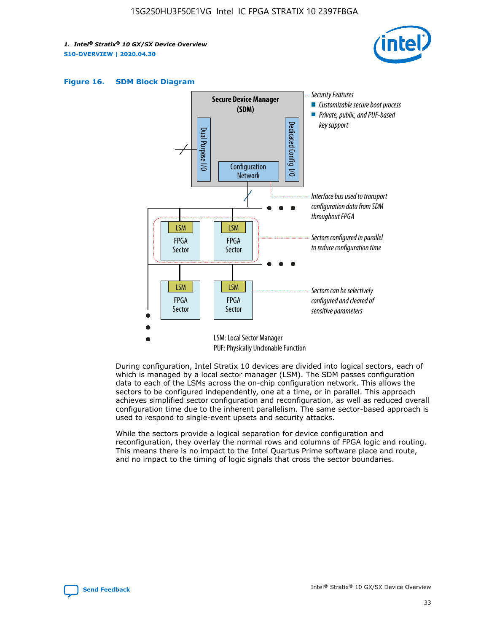





During configuration, Intel Stratix 10 devices are divided into logical sectors, each of which is managed by a local sector manager (LSM). The SDM passes configuration data to each of the LSMs across the on-chip configuration network. This allows the sectors to be configured independently, one at a time, or in parallel. This approach achieves simplified sector configuration and reconfiguration, as well as reduced overall configuration time due to the inherent parallelism. The same sector-based approach is used to respond to single-event upsets and security attacks.

While the sectors provide a logical separation for device configuration and reconfiguration, they overlay the normal rows and columns of FPGA logic and routing. This means there is no impact to the Intel Quartus Prime software place and route, and no impact to the timing of logic signals that cross the sector boundaries.

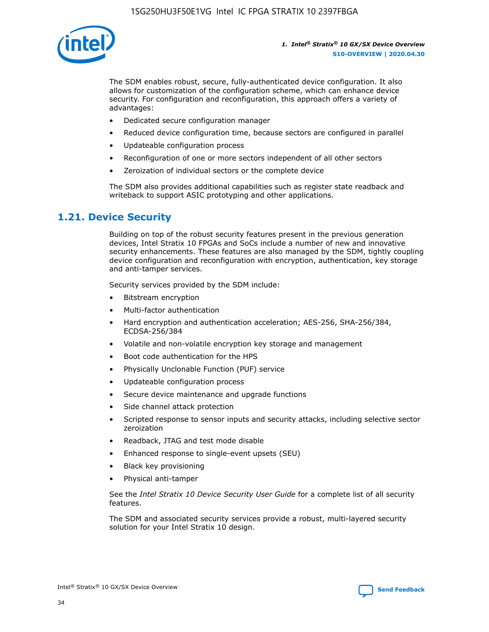

The SDM enables robust, secure, fully-authenticated device configuration. It also allows for customization of the configuration scheme, which can enhance device security. For configuration and reconfiguration, this approach offers a variety of advantages:

- Dedicated secure configuration manager
- Reduced device configuration time, because sectors are configured in parallel
- Updateable configuration process
- Reconfiguration of one or more sectors independent of all other sectors
- Zeroization of individual sectors or the complete device

The SDM also provides additional capabilities such as register state readback and writeback to support ASIC prototyping and other applications.

## **1.21. Device Security**

Building on top of the robust security features present in the previous generation devices, Intel Stratix 10 FPGAs and SoCs include a number of new and innovative security enhancements. These features are also managed by the SDM, tightly coupling device configuration and reconfiguration with encryption, authentication, key storage and anti-tamper services.

Security services provided by the SDM include:

- Bitstream encryption
- Multi-factor authentication
- Hard encryption and authentication acceleration; AES-256, SHA-256/384, ECDSA-256/384
- Volatile and non-volatile encryption key storage and management
- Boot code authentication for the HPS
- Physically Unclonable Function (PUF) service
- Updateable configuration process
- Secure device maintenance and upgrade functions
- Side channel attack protection
- Scripted response to sensor inputs and security attacks, including selective sector zeroization
- Readback, JTAG and test mode disable
- Enhanced response to single-event upsets (SEU)
- Black key provisioning
- Physical anti-tamper

See the *Intel Stratix 10 Device Security User Guide* for a complete list of all security features.

The SDM and associated security services provide a robust, multi-layered security solution for your Intel Stratix 10 design.

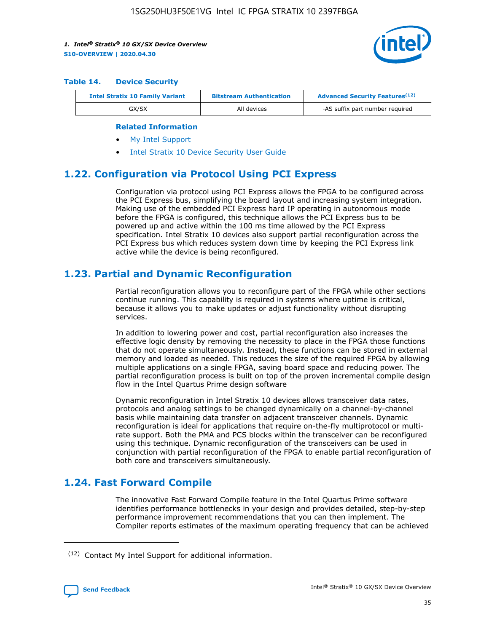

#### **Table 14. Device Security**

| <b>Intel Stratix 10 Family Variant</b> | <b>Bitstream Authentication</b> | <b>Advanced Security Features</b> <sup>(12)</sup> |  |  |
|----------------------------------------|---------------------------------|---------------------------------------------------|--|--|
| GX/SX                                  | All devices                     | -AS suffix part number required                   |  |  |

#### **Related Information**

- [My Intel Support](https://www.intel.com/content/www/us/en/programmable/my-intel/mal-home.html)
- [Intel Stratix 10 Device Security User Guide](https://www.intel.com/content/www/us/en/programmable/documentation/ndq1483601370898.html#wcd1483611014402)

## **1.22. Configuration via Protocol Using PCI Express**

Configuration via protocol using PCI Express allows the FPGA to be configured across the PCI Express bus, simplifying the board layout and increasing system integration. Making use of the embedded PCI Express hard IP operating in autonomous mode before the FPGA is configured, this technique allows the PCI Express bus to be powered up and active within the 100 ms time allowed by the PCI Express specification. Intel Stratix 10 devices also support partial reconfiguration across the PCI Express bus which reduces system down time by keeping the PCI Express link active while the device is being reconfigured.

## **1.23. Partial and Dynamic Reconfiguration**

Partial reconfiguration allows you to reconfigure part of the FPGA while other sections continue running. This capability is required in systems where uptime is critical, because it allows you to make updates or adjust functionality without disrupting services.

In addition to lowering power and cost, partial reconfiguration also increases the effective logic density by removing the necessity to place in the FPGA those functions that do not operate simultaneously. Instead, these functions can be stored in external memory and loaded as needed. This reduces the size of the required FPGA by allowing multiple applications on a single FPGA, saving board space and reducing power. The partial reconfiguration process is built on top of the proven incremental compile design flow in the Intel Quartus Prime design software

Dynamic reconfiguration in Intel Stratix 10 devices allows transceiver data rates, protocols and analog settings to be changed dynamically on a channel-by-channel basis while maintaining data transfer on adjacent transceiver channels. Dynamic reconfiguration is ideal for applications that require on-the-fly multiprotocol or multirate support. Both the PMA and PCS blocks within the transceiver can be reconfigured using this technique. Dynamic reconfiguration of the transceivers can be used in conjunction with partial reconfiguration of the FPGA to enable partial reconfiguration of both core and transceivers simultaneously.

## **1.24. Fast Forward Compile**

The innovative Fast Forward Compile feature in the Intel Quartus Prime software identifies performance bottlenecks in your design and provides detailed, step-by-step performance improvement recommendations that you can then implement. The Compiler reports estimates of the maximum operating frequency that can be achieved

<sup>(12)</sup> Contact My Intel Support for additional information.

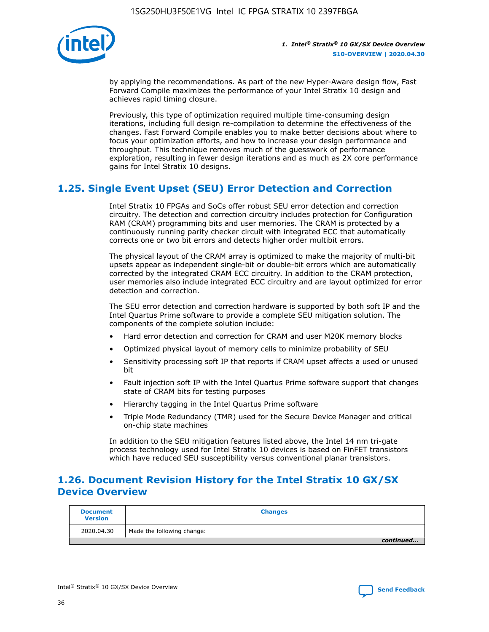

by applying the recommendations. As part of the new Hyper-Aware design flow, Fast Forward Compile maximizes the performance of your Intel Stratix 10 design and achieves rapid timing closure.

Previously, this type of optimization required multiple time-consuming design iterations, including full design re-compilation to determine the effectiveness of the changes. Fast Forward Compile enables you to make better decisions about where to focus your optimization efforts, and how to increase your design performance and throughput. This technique removes much of the guesswork of performance exploration, resulting in fewer design iterations and as much as 2X core performance gains for Intel Stratix 10 designs.

## **1.25. Single Event Upset (SEU) Error Detection and Correction**

Intel Stratix 10 FPGAs and SoCs offer robust SEU error detection and correction circuitry. The detection and correction circuitry includes protection for Configuration RAM (CRAM) programming bits and user memories. The CRAM is protected by a continuously running parity checker circuit with integrated ECC that automatically corrects one or two bit errors and detects higher order multibit errors.

The physical layout of the CRAM array is optimized to make the majority of multi-bit upsets appear as independent single-bit or double-bit errors which are automatically corrected by the integrated CRAM ECC circuitry. In addition to the CRAM protection, user memories also include integrated ECC circuitry and are layout optimized for error detection and correction.

The SEU error detection and correction hardware is supported by both soft IP and the Intel Quartus Prime software to provide a complete SEU mitigation solution. The components of the complete solution include:

- Hard error detection and correction for CRAM and user M20K memory blocks
- Optimized physical layout of memory cells to minimize probability of SEU
- Sensitivity processing soft IP that reports if CRAM upset affects a used or unused bit
- Fault injection soft IP with the Intel Quartus Prime software support that changes state of CRAM bits for testing purposes
- Hierarchy tagging in the Intel Quartus Prime software
- Triple Mode Redundancy (TMR) used for the Secure Device Manager and critical on-chip state machines

In addition to the SEU mitigation features listed above, the Intel 14 nm tri-gate process technology used for Intel Stratix 10 devices is based on FinFET transistors which have reduced SEU susceptibility versus conventional planar transistors.

## **1.26. Document Revision History for the Intel Stratix 10 GX/SX Device Overview**

| <b>Document</b><br><b>Version</b> | <b>Changes</b>             |
|-----------------------------------|----------------------------|
| 2020.04.30                        | Made the following change: |
|                                   | continued                  |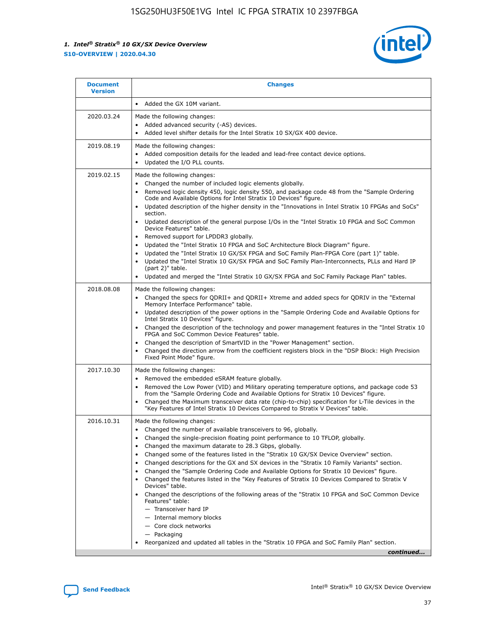

| <b>Changes</b>                                                                                                                                                                                                                                                                                                                                                                                                                                                                                                                                                                                                                                                                                                                                                                                                                                                                                                                                                                         |
|----------------------------------------------------------------------------------------------------------------------------------------------------------------------------------------------------------------------------------------------------------------------------------------------------------------------------------------------------------------------------------------------------------------------------------------------------------------------------------------------------------------------------------------------------------------------------------------------------------------------------------------------------------------------------------------------------------------------------------------------------------------------------------------------------------------------------------------------------------------------------------------------------------------------------------------------------------------------------------------|
| Added the GX 10M variant.                                                                                                                                                                                                                                                                                                                                                                                                                                                                                                                                                                                                                                                                                                                                                                                                                                                                                                                                                              |
| Made the following changes:<br>Added advanced security (-AS) devices.<br>Added level shifter details for the Intel Stratix 10 SX/GX 400 device.<br>$\bullet$                                                                                                                                                                                                                                                                                                                                                                                                                                                                                                                                                                                                                                                                                                                                                                                                                           |
| Made the following changes:<br>Added composition details for the leaded and lead-free contact device options.<br>۰<br>Updated the I/O PLL counts.<br>$\bullet$                                                                                                                                                                                                                                                                                                                                                                                                                                                                                                                                                                                                                                                                                                                                                                                                                         |
| Made the following changes:<br>Changed the number of included logic elements globally.<br>Removed logic density 450, logic density 550, and package code 48 from the "Sample Ordering<br>٠<br>Code and Available Options for Intel Stratix 10 Devices" figure.<br>Updated description of the higher density in the "Innovations in Intel Stratix 10 FPGAs and SoCs"<br>section.<br>Updated description of the general purpose I/Os in the "Intel Stratix 10 FPGA and SoC Common<br>Device Features" table.<br>Removed support for LPDDR3 globally.<br>Updated the "Intel Stratix 10 FPGA and SoC Architecture Block Diagram" figure.<br>٠<br>Updated the "Intel Stratix 10 GX/SX FPGA and SoC Family Plan-FPGA Core (part 1)" table.<br>٠<br>Updated the "Intel Stratix 10 GX/SX FPGA and SoC Family Plan-Interconnects, PLLs and Hard IP<br>٠<br>(part 2)" table.<br>Updated and merged the "Intel Stratix 10 GX/SX FPGA and SoC Family Package Plan" tables.                         |
| Made the following changes:<br>Changed the specs for ODRII+ and ODRII+ Xtreme and added specs for ODRIV in the "External<br>٠<br>Memory Interface Performance" table.<br>Updated description of the power options in the "Sample Ordering Code and Available Options for<br>Intel Stratix 10 Devices" figure.<br>Changed the description of the technology and power management features in the "Intel Stratix 10<br>FPGA and SoC Common Device Features" table.<br>Changed the description of SmartVID in the "Power Management" section.<br>Changed the direction arrow from the coefficient registers block in the "DSP Block: High Precision<br>Fixed Point Mode" figure.                                                                                                                                                                                                                                                                                                          |
| Made the following changes:<br>Removed the embedded eSRAM feature globally.<br>$\bullet$<br>Removed the Low Power (VID) and Military operating temperature options, and package code 53<br>$\bullet$<br>from the "Sample Ordering Code and Available Options for Stratix 10 Devices" figure.<br>Changed the Maximum transceiver data rate (chip-to-chip) specification for L-Tile devices in the<br>٠<br>"Key Features of Intel Stratix 10 Devices Compared to Stratix V Devices" table.                                                                                                                                                                                                                                                                                                                                                                                                                                                                                               |
| Made the following changes:<br>• Changed the number of available transceivers to 96, globally.<br>Changed the single-precision floating point performance to 10 TFLOP, globally.<br>Changed the maximum datarate to 28.3 Gbps, globally.<br>٠<br>Changed some of the features listed in the "Stratix 10 GX/SX Device Overview" section.<br>٠<br>Changed descriptions for the GX and SX devices in the "Stratix 10 Family Variants" section.<br>٠<br>Changed the "Sample Ordering Code and Available Options for Stratix 10 Devices" figure.<br>٠<br>Changed the features listed in the "Key Features of Stratix 10 Devices Compared to Stratix V<br>٠<br>Devices" table.<br>Changed the descriptions of the following areas of the "Stratix 10 FPGA and SoC Common Device<br>Features" table:<br>- Transceiver hard IP<br>- Internal memory blocks<br>- Core clock networks<br>- Packaging<br>Reorganized and updated all tables in the "Stratix 10 FPGA and SoC Family Plan" section. |
|                                                                                                                                                                                                                                                                                                                                                                                                                                                                                                                                                                                                                                                                                                                                                                                                                                                                                                                                                                                        |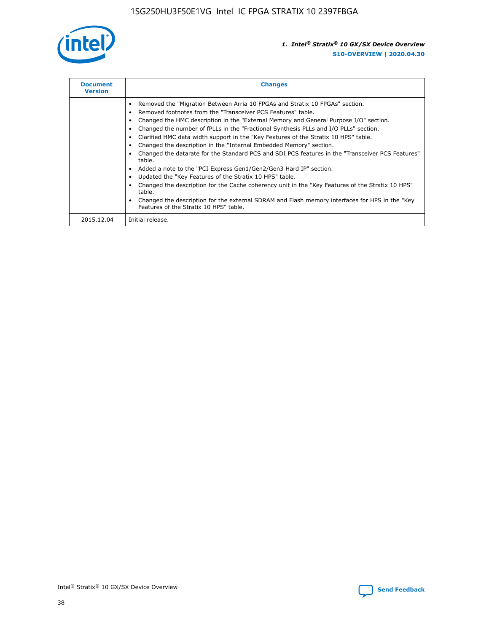

| <b>Document</b><br><b>Version</b> | <b>Changes</b>                                                                                                                                                                                                                                                                                                                                                                                                                                                                                                                                                                                                                                                                                                                                                                                                                                                                                                                                                                                     |
|-----------------------------------|----------------------------------------------------------------------------------------------------------------------------------------------------------------------------------------------------------------------------------------------------------------------------------------------------------------------------------------------------------------------------------------------------------------------------------------------------------------------------------------------------------------------------------------------------------------------------------------------------------------------------------------------------------------------------------------------------------------------------------------------------------------------------------------------------------------------------------------------------------------------------------------------------------------------------------------------------------------------------------------------------|
|                                   | Removed the "Migration Between Arria 10 FPGAs and Stratix 10 FPGAs" section.<br>Removed footnotes from the "Transceiver PCS Features" table.<br>Changed the HMC description in the "External Memory and General Purpose I/O" section.<br>Changed the number of fPLLs in the "Fractional Synthesis PLLs and I/O PLLs" section.<br>Clarified HMC data width support in the "Key Features of the Stratix 10 HPS" table.<br>Changed the description in the "Internal Embedded Memory" section.<br>Changed the datarate for the Standard PCS and SDI PCS features in the "Transceiver PCS Features"<br>table.<br>Added a note to the "PCI Express Gen1/Gen2/Gen3 Hard IP" section.<br>Updated the "Key Features of the Stratix 10 HPS" table.<br>Changed the description for the Cache coherency unit in the "Key Features of the Stratix 10 HPS"<br>table.<br>Changed the description for the external SDRAM and Flash memory interfaces for HPS in the "Key<br>Features of the Stratix 10 HPS" table. |
| 2015.12.04                        | Initial release.                                                                                                                                                                                                                                                                                                                                                                                                                                                                                                                                                                                                                                                                                                                                                                                                                                                                                                                                                                                   |